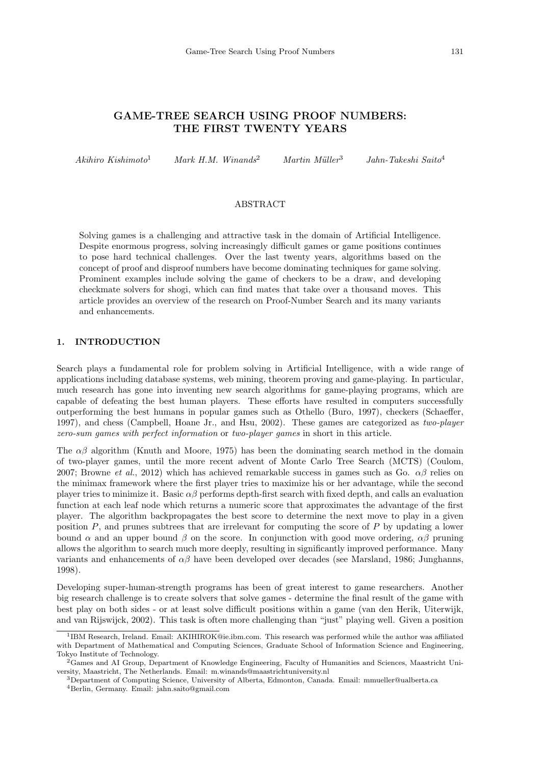# GAME-TREE SEARCH USING PROOF NUMBERS: THE FIRST TWENTY YEARS

 $A$ kihiro Kishimoto<sup>1</sup> Mark H.M. Winands<sup>2</sup> Martin Müller<sup>3</sup> Jahn-Takeshi Saito<sup>4</sup>

# ABSTRACT

Solving games is a challenging and attractive task in the domain of Artificial Intelligence. Despite enormous progress, solving increasingly difficult games or game positions continues to pose hard technical challenges. Over the last twenty years, algorithms based on the concept of proof and disproof numbers have become dominating techniques for game solving. Prominent examples include solving the game of checkers to be a draw, and developing checkmate solvers for shogi, which can find mates that take over a thousand moves. This article provides an overview of the research on Proof-Number Search and its many variants and enhancements.

## 1. INTRODUCTION

Search plays a fundamental role for problem solving in Artificial Intelligence, with a wide range of applications including database systems, web mining, theorem proving and game-playing. In particular, much research has gone into inventing new search algorithms for game-playing programs, which are capable of defeating the best human players. These efforts have resulted in computers successfully outperforming the best humans in popular games such as Othello (Buro, 1997), checkers (Schaeffer, 1997), and chess (Campbell, Hoane Jr., and Hsu, 2002). These games are categorized as two-player zero-sum games with perfect information or two-player games in short in this article.

The  $\alpha\beta$  algorithm (Knuth and Moore, 1975) has been the dominating search method in the domain of two-player games, until the more recent advent of Monte Carlo Tree Search (MCTS) (Coulom, 2007; Browne et al., 2012) which has achieved remarkable success in games such as Go.  $\alpha\beta$  relies on the minimax framework where the first player tries to maximize his or her advantage, while the second player tries to minimize it. Basic  $\alpha\beta$  performs depth-first search with fixed depth, and calls an evaluation function at each leaf node which returns a numeric score that approximates the advantage of the first player. The algorithm backpropagates the best score to determine the next move to play in a given position P, and prunes subtrees that are irrelevant for computing the score of P by updating a lower bound  $\alpha$  and an upper bound  $\beta$  on the score. In conjunction with good move ordering,  $\alpha\beta$  pruning allows the algorithm to search much more deeply, resulting in significantly improved performance. Many variants and enhancements of  $\alpha\beta$  have been developed over decades (see Marsland, 1986; Junghanns, 1998).

Developing super-human-strength programs has been of great interest to game researchers. Another big research challenge is to create solvers that solve games - determine the final result of the game with best play on both sides - or at least solve difficult positions within a game (van den Herik, Uiterwijk, and van Rijswijck, 2002). This task is often more challenging than "just" playing well. Given a position

<sup>1</sup> IBM Research, Ireland. Email: AKIHIROK@ie.ibm.com. This research was performed while the author was affiliated with Department of Mathematical and Computing Sciences, Graduate School of Information Science and Engineering, Tokyo Institute of Technology.

<sup>2</sup>Games and AI Group, Department of Knowledge Engineering, Faculty of Humanities and Sciences, Maastricht University, Maastricht, The Netherlands. Email: m.winands@maastrichtuniversity.nl

<sup>3</sup>Department of Computing Science, University of Alberta, Edmonton, Canada. Email: mmueller@ualberta.ca <sup>4</sup>Berlin, Germany. Email: jahn.saito@gmail.com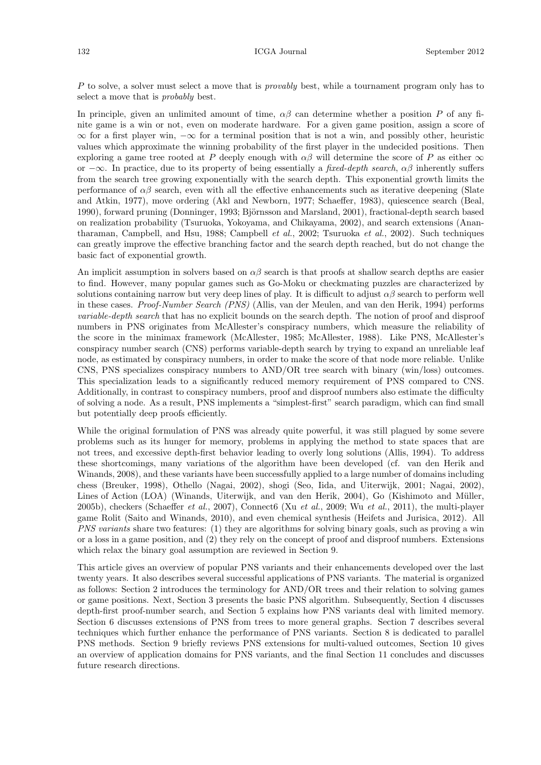P to solve, a solver must select a move that is *provably* best, while a tournament program only has to select a move that is probably best.

In principle, given an unlimited amount of time,  $\alpha\beta$  can determine whether a position P of any finite game is a win or not, even on moderate hardware. For a given game position, assign a score of  $\infty$  for a first player win,  $-\infty$  for a terminal position that is not a win, and possibly other, heuristic values which approximate the winning probability of the first player in the undecided positions. Then exploring a game tree rooted at P deeply enough with  $\alpha\beta$  will determine the score of P as either  $\infty$ or  $-\infty$ . In practice, due to its property of being essentially a *fixed-depth search*,  $\alpha\beta$  inherently suffers from the search tree growing exponentially with the search depth. This exponential growth limits the performance of  $\alpha\beta$  search, even with all the effective enhancements such as iterative deepening (Slate and Atkin, 1977), move ordering (Akl and Newborn, 1977; Schaeffer, 1983), quiescence search (Beal, 1990), forward pruning (Donninger, 1993; Björnsson and Marsland, 2001), fractional-depth search based on realization probability (Tsuruoka, Yokoyama, and Chikayama, 2002), and search extensions (Anantharaman, Campbell, and Hsu, 1988; Campbell *et al.*, 2002; Tsuruoka *et al.*, 2002). Such techniques can greatly improve the effective branching factor and the search depth reached, but do not change the basic fact of exponential growth.

An implicit assumption in solvers based on  $\alpha\beta$  search is that proofs at shallow search depths are easier to find. However, many popular games such as Go-Moku or checkmating puzzles are characterized by solutions containing narrow but very deep lines of play. It is difficult to adjust  $\alpha\beta$  search to perform well in these cases. Proof-Number Search (PNS) (Allis, van der Meulen, and van den Herik, 1994) performs variable-depth search that has no explicit bounds on the search depth. The notion of proof and disproof numbers in PNS originates from McAllester's conspiracy numbers, which measure the reliability of the score in the minimax framework (McAllester, 1985; McAllester, 1988). Like PNS, McAllester's conspiracy number search (CNS) performs variable-depth search by trying to expand an unreliable leaf node, as estimated by conspiracy numbers, in order to make the score of that node more reliable. Unlike CNS, PNS specializes conspiracy numbers to AND/OR tree search with binary (win/loss) outcomes. This specialization leads to a significantly reduced memory requirement of PNS compared to CNS. Additionally, in contrast to conspiracy numbers, proof and disproof numbers also estimate the difficulty of solving a node. As a result, PNS implements a "simplest-first" search paradigm, which can find small but potentially deep proofs efficiently.

While the original formulation of PNS was already quite powerful, it was still plagued by some severe problems such as its hunger for memory, problems in applying the method to state spaces that are not trees, and excessive depth-first behavior leading to overly long solutions (Allis, 1994). To address these shortcomings, many variations of the algorithm have been developed (cf. van den Herik and Winands, 2008), and these variants have been successfully applied to a large number of domains including chess (Breuker, 1998), Othello (Nagai, 2002), shogi (Seo, Iida, and Uiterwijk, 2001; Nagai, 2002), Lines of Action (LOA) (Winands, Uiterwijk, and van den Herik, 2004), Go (Kishimoto and Müller, 2005b), checkers (Schaeffer *et al.*, 2007), Connect6 (Xu *et al.*, 2009; Wu *et al.*, 2011), the multi-player game Rolit (Saito and Winands, 2010), and even chemical synthesis (Heifets and Jurisica, 2012). All PNS variants share two features: (1) they are algorithms for solving binary goals, such as proving a win or a loss in a game position, and (2) they rely on the concept of proof and disproof numbers. Extensions which relax the binary goal assumption are reviewed in Section 9.

This article gives an overview of popular PNS variants and their enhancements developed over the last twenty years. It also describes several successful applications of PNS variants. The material is organized as follows: Section 2 introduces the terminology for AND/OR trees and their relation to solving games or game positions. Next, Section 3 presents the basic PNS algorithm. Subsequently, Section 4 discusses depth-first proof-number search, and Section 5 explains how PNS variants deal with limited memory. Section 6 discusses extensions of PNS from trees to more general graphs. Section 7 describes several techniques which further enhance the performance of PNS variants. Section 8 is dedicated to parallel PNS methods. Section 9 briefly reviews PNS extensions for multi-valued outcomes, Section 10 gives an overview of application domains for PNS variants, and the final Section 11 concludes and discusses future research directions.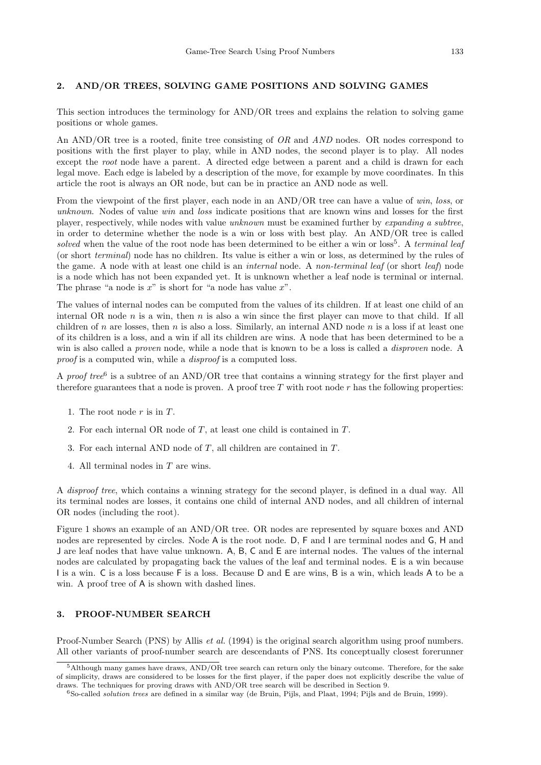### 2. AND/OR TREES, SOLVING GAME POSITIONS AND SOLVING GAMES

This section introduces the terminology for AND/OR trees and explains the relation to solving game positions or whole games.

An AND/OR tree is a rooted, finite tree consisting of OR and AND nodes. OR nodes correspond to positions with the first player to play, while in AND nodes, the second player is to play. All nodes except the root node have a parent. A directed edge between a parent and a child is drawn for each legal move. Each edge is labeled by a description of the move, for example by move coordinates. In this article the root is always an OR node, but can be in practice an AND node as well.

From the viewpoint of the first player, each node in an AND/OR tree can have a value of win, loss, or unknown. Nodes of value win and loss indicate positions that are known wins and losses for the first player, respectively, while nodes with value unknown must be examined further by expanding a subtree, in order to determine whether the node is a win or loss with best play. An AND/OR tree is called solved when the value of the root node has been determined to be either a win or  $loss<sup>5</sup>$ . A terminal leaf (or short terminal) node has no children. Its value is either a win or loss, as determined by the rules of the game. A node with at least one child is an *internal* node. A non-terminal leaf (or short leaf) node is a node which has not been expanded yet. It is unknown whether a leaf node is terminal or internal. The phrase "a node is  $x$ " is short for "a node has value  $x$ ".

The values of internal nodes can be computed from the values of its children. If at least one child of an internal OR node n is a win, then n is also a win since the first player can move to that child. If all children of n are losses, then n is also a loss. Similarly, an internal AND node n is a loss if at least one of its children is a loss, and a win if all its children are wins. A node that has been determined to be a win is also called a *proven* node, while a node that is known to be a loss is called a *disproven* node. A proof is a computed win, while a *disproof* is a computed loss.

A proof tree<sup>6</sup> is a subtree of an AND/OR tree that contains a winning strategy for the first player and therefore guarantees that a node is proven. A proof tree  $T$  with root node  $r$  has the following properties:

- 1. The root node  $r$  is in  $T$ .
- 2. For each internal OR node of T, at least one child is contained in T.
- 3. For each internal AND node of T, all children are contained in T.
- 4. All terminal nodes in T are wins.

A disproof tree, which contains a winning strategy for the second player, is defined in a dual way. All its terminal nodes are losses, it contains one child of internal AND nodes, and all children of internal OR nodes (including the root).

Figure 1 shows an example of an AND/OR tree. OR nodes are represented by square boxes and AND nodes are represented by circles. Node A is the root node. D, F and I are terminal nodes and G, H and J are leaf nodes that have value unknown. A, B, C and E are internal nodes. The values of the internal nodes are calculated by propagating back the values of the leaf and terminal nodes. E is a win because I is a win. C is a loss because F is a loss. Because D and E are wins, B is a win, which leads A to be a win. A proof tree of A is shown with dashed lines.

## 3. PROOF-NUMBER SEARCH

Proof-Number Search (PNS) by Allis *et al.* (1994) is the original search algorithm using proof numbers. All other variants of proof-number search are descendants of PNS. Its conceptually closest forerunner

<sup>5</sup>Although many games have draws, AND/OR tree search can return only the binary outcome. Therefore, for the sake of simplicity, draws are considered to be losses for the first player, if the paper does not explicitly describe the value of draws. The techniques for proving draws with AND/OR tree search will be described in Section 9.

<sup>6</sup>So-called solution trees are defined in a similar way (de Bruin, Pijls, and Plaat, 1994; Pijls and de Bruin, 1999).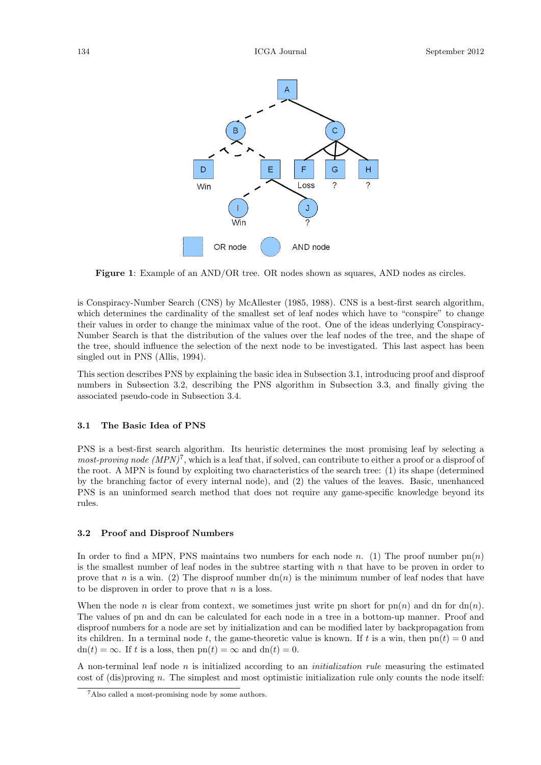

Figure 1: Example of an AND/OR tree. OR nodes shown as squares, AND nodes as circles.

is Conspiracy-Number Search (CNS) by McAllester (1985, 1988). CNS is a best-first search algorithm, which determines the cardinality of the smallest set of leaf nodes which have to "conspire" to change their values in order to change the minimax value of the root. One of the ideas underlying Conspiracy-Number Search is that the distribution of the values over the leaf nodes of the tree, and the shape of the tree, should influence the selection of the next node to be investigated. This last aspect has been singled out in PNS (Allis, 1994).

This section describes PNS by explaining the basic idea in Subsection 3.1, introducing proof and disproof numbers in Subsection 3.2, describing the PNS algorithm in Subsection 3.3, and finally giving the associated pseudo-code in Subsection 3.4.

### 3.1 The Basic Idea of PNS

PNS is a best-first search algorithm. Its heuristic determines the most promising leaf by selecting a most-proving node  $(MPN)^7$ , which is a leaf that, if solved, can contribute to either a proof or a disproof of the root. A MPN is found by exploiting two characteristics of the search tree: (1) its shape (determined by the branching factor of every internal node), and (2) the values of the leaves. Basic, unenhanced PNS is an uninformed search method that does not require any game-specific knowledge beyond its rules.

#### 3.2 Proof and Disproof Numbers

In order to find a MPN, PNS maintains two numbers for each node n. (1) The proof number  $pn(n)$ is the smallest number of leaf nodes in the subtree starting with  $n$  that have to be proven in order to prove that n is a win. (2) The disproof number  $dn(n)$  is the minimum number of leaf nodes that have to be disproven in order to prove that  $n$  is a loss.

When the node n is clear from context, we sometimes just write pn short for  $p_n(n)$  and dn for  $dn(n)$ . The values of pn and dn can be calculated for each node in a tree in a bottom-up manner. Proof and disproof numbers for a node are set by initialization and can be modified later by backpropagation from its children. In a terminal node t, the game-theoretic value is known. If t is a win, then  $\text{pn}(t) = 0$  and  $dn(t) = \infty$ . If t is a loss, then  $pn(t) = \infty$  and  $dn(t) = 0$ .

A non-terminal leaf node n is initialized according to an *initialization rule* measuring the estimated cost of (dis)proving n. The simplest and most optimistic initialization rule only counts the node itself:

<sup>7</sup>Also called a most-promising node by some authors.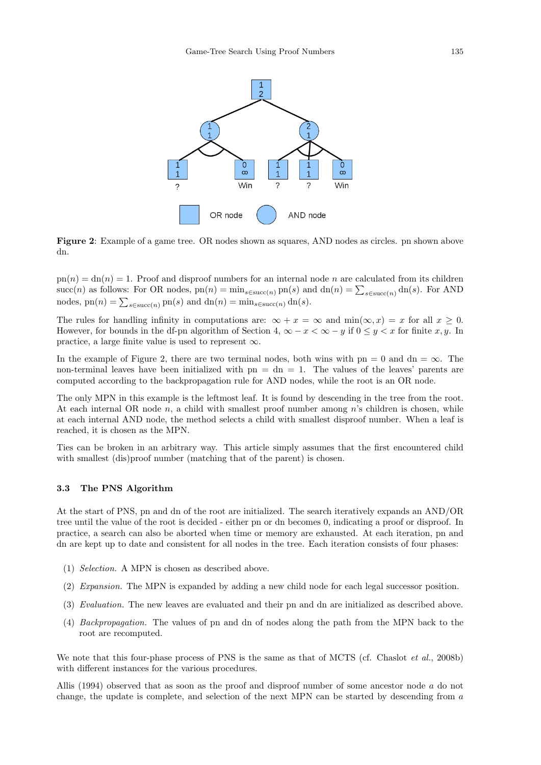

Figure 2: Example of a game tree. OR nodes shown as squares, AND nodes as circles. pn shown above dn.

 $p(n) = dn(n) = 1$ . Proof and disproof numbers for an internal node n are calculated from its children succ(n) as follows: For OR nodes,  $pn(n) = min_{s \in succ(n)} pn(s)$  and  $dn(n) = \sum_{s \in succ(n)} dn(s)$ . For AND nodes,  $\text{pn}(n) = \sum_{s \in \text{succ}(n)} \text{pn}(s)$  and  $\text{dn}(n) = \min_{s \in \text{succ}(n)} \text{dn}(s)$ .

The rules for handling infinity in computations are:  $\infty + x = \infty$  and  $\min(\infty, x) = x$  for all  $x \ge 0$ . However, for bounds in the df-pn algorithm of Section 4,  $\infty - x < \infty - y$  if  $0 \le y < x$  for finite x, y. In practice, a large finite value is used to represent  $\infty$ .

In the example of Figure 2, there are two terminal nodes, both wins with pn = 0 and dn =  $\infty$ . The non-terminal leaves have been initialized with  $pn = dn = 1$ . The values of the leaves' parents are computed according to the backpropagation rule for AND nodes, while the root is an OR node.

The only MPN in this example is the leftmost leaf. It is found by descending in the tree from the root. At each internal OR node  $n$ , a child with smallest proof number among  $n$ 's children is chosen, while at each internal AND node, the method selects a child with smallest disproof number. When a leaf is reached, it is chosen as the MPN.

Ties can be broken in an arbitrary way. This article simply assumes that the first encountered child with smallest (dis)proof number (matching that of the parent) is chosen.

### 3.3 The PNS Algorithm

At the start of PNS, pn and dn of the root are initialized. The search iteratively expands an AND/OR tree until the value of the root is decided - either pn or dn becomes 0, indicating a proof or disproof. In practice, a search can also be aborted when time or memory are exhausted. At each iteration, pn and dn are kept up to date and consistent for all nodes in the tree. Each iteration consists of four phases:

- (1) Selection. A MPN is chosen as described above.
- (2) Expansion. The MPN is expanded by adding a new child node for each legal successor position.
- (3) Evaluation. The new leaves are evaluated and their pn and dn are initialized as described above.
- (4) Backpropagation. The values of pn and dn of nodes along the path from the MPN back to the root are recomputed.

We note that this four-phase process of PNS is the same as that of MCTS (cf. Chaslot *et al.*, 2008b) with different instances for the various procedures.

Allis (1994) observed that as soon as the proof and disproof number of some ancestor node a do not change, the update is complete, and selection of the next MPN can be started by descending from a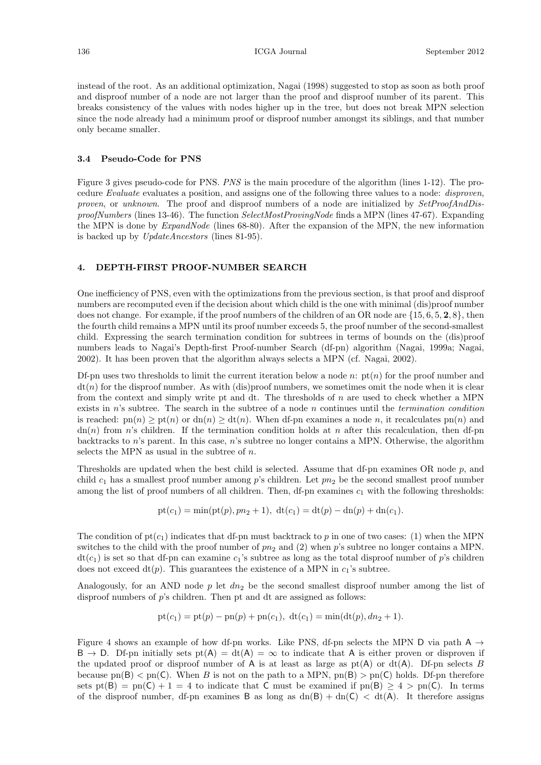instead of the root. As an additional optimization, Nagai (1998) suggested to stop as soon as both proof and disproof number of a node are not larger than the proof and disproof number of its parent. This breaks consistency of the values with nodes higher up in the tree, but does not break MPN selection since the node already had a minimum proof or disproof number amongst its siblings, and that number only became smaller.

### 3.4 Pseudo-Code for PNS

Figure 3 gives pseudo-code for PNS. PNS is the main procedure of the algorithm (lines 1-12). The procedure Evaluate evaluates a position, and assigns one of the following three values to a node: *disproven*, proven, or unknown. The proof and disproof numbers of a node are initialized by  $SetProofAndDis$ proofNumbers (lines 13-46). The function SelectMostProvingNode finds a MPN (lines 47-67). Expanding the MPN is done by *ExpandNode* (lines 68-80). After the expansion of the MPN, the new information is backed up by UpdateAncestors (lines 81-95).

### 4. DEPTH-FIRST PROOF-NUMBER SEARCH

One inefficiency of PNS, even with the optimizations from the previous section, is that proof and disproof numbers are recomputed even if the decision about which child is the one with minimal (dis)proof number does not change. For example, if the proof numbers of the children of an OR node are {15, 6, 5, 2, 8}, then the fourth child remains a MPN until its proof number exceeds 5, the proof number of the second-smallest child. Expressing the search termination condition for subtrees in terms of bounds on the (dis)proof numbers leads to Nagai's Depth-first Proof-number Search (df-pn) algorithm (Nagai, 1999a; Nagai, 2002). It has been proven that the algorithm always selects a MPN (cf. Nagai, 2002).

Df-pn uses two thresholds to limit the current iteration below a node n:  $pt(n)$  for the proof number and  $dt(n)$  for the disproof number. As with (dis)proof numbers, we sometimes omit the node when it is clear from the context and simply write pt and dt. The thresholds of n are used to check whether a MPN exists in n's subtree. The search in the subtree of a node n continues until the termination condition is reached:  $p_n(n) \geq p_n(n)$  or  $dn(n) \geq dt(n)$ . When df-pn examines a node n, it recalculates  $p_n(n)$  and  $dn(n)$  from n's children. If the termination condition holds at n after this recalculation, then df-pn backtracks to  $n$ 's parent. In this case,  $n$ 's subtree no longer contains a MPN. Otherwise, the algorithm selects the MPN as usual in the subtree of  $n$ .

Thresholds are updated when the best child is selected. Assume that df-pn examines OR node p, and child  $c_1$  has a smallest proof number among p's children. Let  $p_2$  be the second smallest proof number among the list of proof numbers of all children. Then, df-pn examines  $c_1$  with the following thresholds:

$$
pt(c_1) = min(pt(p), pn_2 + 1), dt(c_1) = dt(p) - dn(p) + dn(c_1).
$$

The condition of  $pt(c_1)$  indicates that df-pn must backtrack to p in one of two cases: (1) when the MPN switches to the child with the proof number of  $pn_2$  and (2) when p's subtree no longer contains a MPN.  $dt(c_1)$  is set so that df-pn can examine  $c_1$ 's subtree as long as the total disproof number of p's children does not exceed  $dt(p)$ . This guarantees the existence of a MPN in  $c_1$ 's subtree.

Analogously, for an AND node  $p$  let  $dn_2$  be the second smallest disproof number among the list of disproof numbers of  $p$ 's children. Then pt and dt are assigned as follows:

$$
pt(c_1) = pt(p) - pn(p) + pn(c_1), dt(c_1) = min(dt(p), dn_2 + 1).
$$

Figure 4 shows an example of how df-pn works. Like PNS, df-pn selects the MPN D via path A  $\rightarrow$  $B \to D$ . Df-pn initially sets pt(A) = dt(A) =  $\infty$  to indicate that A is either proven or disproven if the updated proof or disproof number of A is at least as large as  $pt(A)$  or  $dt(A)$ . Df-pn selects B because pn(B)  $\leq$  pn(C). When B is not on the path to a MPN, pn(B)  $>$  pn(C) holds. Df-pn therefore sets pt(B) = pn(C) + 1 = 4 to indicate that C must be examined if pn(B)  $\geq 4$  > pn(C). In terms of the disproof number, df-pn examines B as long as  $dn(B) + dn(C) < dt(A)$ . It therefore assigns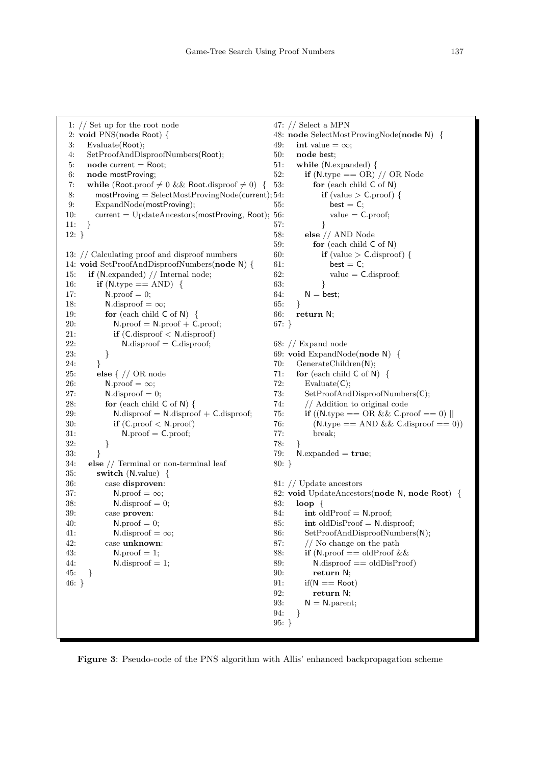```
1: // Set up for the root node
2: void PNS(node Root) {
3: Evaluate(Root);
4: SetProofAndDisproofNumbers(Root);
5: node current = Root;
6: node mostProving;
7: while (Root.proof \neq 0 && Root.disproof \neq 0) {
8: mostProving = SelectMostProvingNode(current); 54:
9: ExpandNode(mostProving);
10: current = UpdateAncestors(mostProving, Root);
11: }
12: }
13: // Calculating proof and disproof numbers
14: void SetProofAndDisproofNumbers(node N) {
15: if (N.expanded) // Internal node;
16: if (N.\text{type} == \text{AND}) {
17: N. \text{proof} = 0;18: N \cdot \text{disproof} = \infty;19: for (each child C of N) {
20: N.\text{proof} = N.\text{proof} + C.\text{proof};21: if (C \text{.disproof} < N \text{.disproof})22: N \cdot \text{disproof} = \text{C-disproof};23: }
24: }
25: else { // OR node
26: N. \text{proof} = \infty;27: N \cdot \text{disproof} = 0;28: for (each child C of N) {
29: N \cdot \text{disproof} = N \cdot \text{disproof} + C \cdot \text{disproof};30: if (C. proof < N.proof)31: N\text{.proof} = C\text{.proof};32: }
33: }
34: else // Terminal or non-terminal leaf
35: switch (N.value) {
36: case disproven:
37: N. \text{proof} = \infty;38: N \cdot \text{disproof} = 0;39: case proven:
40: N. \text{proof} = 0;41: N \cdot \text{disproof} = \infty:
42: case unknown:
43: N. \text{proof} = 1;44: N \cdot \text{disproof} = 1;45: }
46: }
                                                      47: // Select a MPN
                                                      48: node SelectMostProvingNode(node N) {
                                                      49: int value = \infty;
                                                      50: node best;
                                                      57: }
                                                      63: }
                                                      64: \qquad \mathsf{N} = \mathsf{best};65: }
                                                      66: return N;
                                                      67: }
                                                      68: // Expand node
                                                      72: Evaluate(C);
                                                      77: break;
                                                      78: }
                                                      80: }
                                                      83: loop {
                                                      90: return N;
                                                      92: return N;
                                                      94: }
                                                      95: }
```
51: while (N.expanded) { 52: if  $(N.\text{type} == \text{OR})$  // OR Node 53: for (each child C of N) if (value  $>$  C.proof) { 55: best  $= C$ ;  $56:$  value =  $C. \text{proof};$ 58: else // AND Node 59: for (each child C of N) 60: **if** (value > C.disproof) {  $61:$  best = C;  $62:$  value = C.disproof; 69: void ExpandNode(node N) { 70: GenerateChildren(N); 71: for (each child  $\mathsf{C}$  of  $\mathsf{N}$ ) { 73: SetProofAndDisproofNumbers(C); 74: // Addition to original code 75: **if** ((N.type == OR && C.proof == 0) || 76: (N.type == AND && C.disproof == 0)) 79:  $N$ . expanded  $=$  true; 81: // Update ancestors 82: void UpdateAncestors(node N, node Root) { 84: int oldProof =  $N.$ proof; 85: int oldDisProof =  $N$ .disproof; 86: SetProofAndDisproofNumbers(N); 87: // No change on the path 88: **if** (N.proof  $=$  oldProof && 89:  $N \cdot \text{disproof} == \text{oldDisProof}$ 91:  $if(N == Root)$ 93:  $N = N.parent;$ 

Figure 3: Pseudo-code of the PNS algorithm with Allis' enhanced backpropagation scheme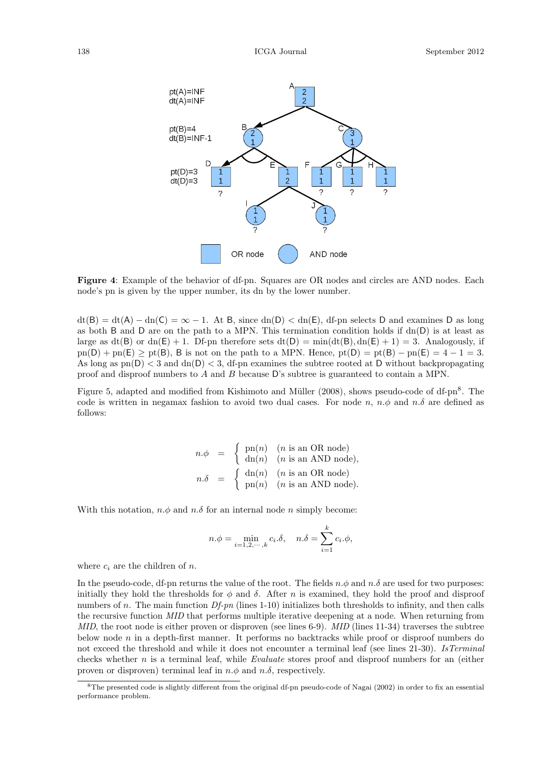

Figure 4: Example of the behavior of df-pn. Squares are OR nodes and circles are AND nodes. Each node's pn is given by the upper number, its dn by the lower number.

 $dt(B) = dt(A) - dn(C) = \infty - 1$ . At B, since  $dn(D) < dn(E)$ , df-pn selects D and examines D as long as both B and D are on the path to a MPN. This termination condition holds if  $dn(D)$  is at least as large as  $dt(B)$  or  $dn(E) + 1$ . Df-pn therefore sets  $dt(D) = min(dt(B), dn(E) + 1) = 3$ . Analogously, if  $p_n(D) + pn(E) \geq pt(B)$ , B is not on the path to a MPN. Hence,  $pt(D) = pt(B) - pn(E) = 4 - 1 = 3$ . As long as  $pn(D) < 3$  and  $dn(D) < 3$ , df-pn examines the subtree rooted at D without backpropagating proof and disproof numbers to A and B because D's subtree is guaranteed to contain a MPN.

Figure 5, adapted and modified from Kishimoto and Müller (2008), shows pseudo-code of df-pn<sup>8</sup>. The code is written in negamax fashion to avoid two dual cases. For node n,  $n.\phi$  and  $n.\delta$  are defined as follows:

$$
n.\phi = \begin{cases} \text{pn}(n) & (n \text{ is an OR node}) \\ \text{dn}(n) & (n \text{ is an AND node}), \end{cases}
$$
  

$$
n.\delta = \begin{cases} \text{dn}(n) & (n \text{ is an OR node}) \\ \text{pn}(n) & (n \text{ is an AND node}). \end{cases}
$$

With this notation,  $n.\phi$  and  $n.\delta$  for an internal node n simply become:

$$
n.\phi = \min_{i=1,2,\cdots,k} c_i.\delta, \quad n.\delta = \sum_{i=1}^k c_i.\phi,
$$

where  $c_i$  are the children of n.

In the pseudo-code, df-pn returns the value of the root. The fields  $n.\phi$  and  $n.\delta$  are used for two purposes: initially they hold the thresholds for  $\phi$  and  $\delta$ . After n is examined, they hold the proof and disproof numbers of n. The main function  $Df$ -pn (lines 1-10) initializes both thresholds to infinity, and then calls the recursive function MID that performs multiple iterative deepening at a node. When returning from  $MID$ , the root node is either proven or disproven (see lines 6-9).  $MID$  (lines 11-34) traverses the subtree below node  $n$  in a depth-first manner. It performs no backtracks while proof or disproof numbers do not exceed the threshold and while it does not encounter a terminal leaf (see lines 21-30). IsTerminal checks whether  $n$  is a terminal leaf, while *Evaluate* stores proof and disproof numbers for an (either proven or disproven) terminal leaf in  $n.\phi$  and  $n.\delta$ , respectively.

<sup>&</sup>lt;sup>8</sup>The presented code is slightly different from the original df-pn pseudo-code of Nagai (2002) in order to fix an essential performance problem.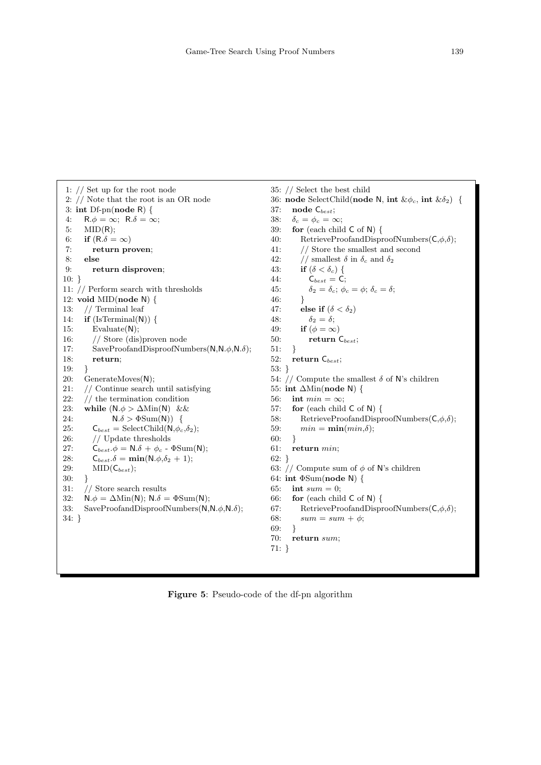```
1: // Set up for the root node
 2: // Note that the root is an OR node
 3: int Df-pn(node R) {
 4: R.\phi = \infty; R.\delta = \infty;
 5: MID(R);6: if (R.\delta = \infty)7: return proven;
 8: else
9: return disproven;
10: }
11: // Perform search with thresholds
12: void MID(node N) {
13: // Terminal leaf
14: if (IsTerminal(N)) {
15: Evaluate(N);
16: // Store (dis)proven node
17: SaveProofandDisproofNumbers(N, N, \phi, N, \delta);
18: return;
19:
20: GenerateMoves(N);
21: // Continue search until satisfying
22: // the termination condition
23: while (N.\phi > \Delta Min(N) \&\&24: N.\delta > \Phi \text{Sum(N)}) {
25: \mathsf{C}_{best} = \text{SelectChild}(\mathsf{N}, \phi_c, \delta_2);26: // Update thresholds
27: C_{best}.\phi = N.\delta + \phi_c - \Phi \text{Sum}(N);28: C_{best}.\delta = \min(N.\phi,\delta_2 + 1);29: \text{MID}(\mathsf{C}_{best});30: }
31: // Store search results
32: N.\phi = \Delta \text{Min}(N); N.\delta = \Phi \text{Sum}(N);
33: SaveProofandDisproofNumbers(N, N, \phi, N, \delta);
34: }
                                                               35: // Select the best child
                                                               36: node SelectChild(node N, int \&\phi_c, int \&\delta_2) {<br>37: node C<sub>best</sub>;
                                                                     node\mathsf{C}_{\mathit{best}};38: \delta_c = \phi_c = \infty;39: for (each child C of N) {
                                                               40: RetrieveProofandDisproofNumbers(C, \phi, \delta);
                                                               41: // Store the smallest and second
                                                               42: // smallest \delta in \delta_c and \delta_243: if (\delta < \delta_c) {
                                                               44: C_{best} = C;45: \delta_2 = \delta_c; \phi_c = \phi; \delta_c = \delta;
                                                               46: }
                                                               47: else if (\delta < \delta_2)48: \delta_2 = \delta;49: if (\phi = \infty)50: return C_{best};
                                                               51: }
                                                               52: return C_{best};
                                                               53: }
                                                               54: // Compute the smallest \delta of N's children
                                                               55: int ∆Min(node N) {
                                                               56: int min = \infty;
                                                               57: for (each child C of N) {
                                                               58: RetrieveProofandDisproofNumbers(C, \phi, \delta);
                                                               59: min = \min(min,\delta);60: }
                                                               61: return min;
                                                               62: }
                                                               63: // Compute sum of \phi of N's children
                                                               64: int \Phi \text{Sum}(\text{node N}) {
                                                               65: int sum = 0;
                                                               66: for (each child C of N) {
                                                               67: RetrieveProofandDisproofNumbers(C, \phi, \delta);
                                                               68: sum = sum + \phi;69: }
                                                               70: return sum;
                                                               71: }
```
Figure 5: Pseudo-code of the df-pn algorithm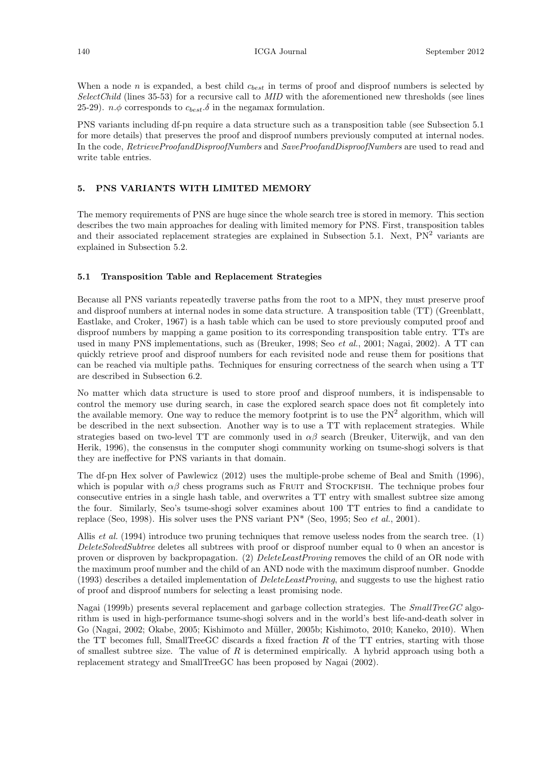When a node n is expanded, a best child  $c_{best}$  in terms of proof and disproof numbers is selected by  $SelectChild$  (lines 35-53) for a recursive call to  $MID$  with the aforementioned new thresholds (see lines 25-29).  $n.\phi$  corresponds to  $c_{best}.\delta$  in the negamax formulation.

PNS variants including df-pn require a data structure such as a transposition table (see Subsection 5.1 for more details) that preserves the proof and disproof numbers previously computed at internal nodes. In the code, RetrieveProofandDisproofNumbers and SaveProofandDisproofNumbers are used to read and write table entries.

### 5. PNS VARIANTS WITH LIMITED MEMORY

The memory requirements of PNS are huge since the whole search tree is stored in memory. This section describes the two main approaches for dealing with limited memory for PNS. First, transposition tables and their associated replacement strategies are explained in Subsection 5.1. Next,  $PN^2$  variants are explained in Subsection 5.2.

### 5.1 Transposition Table and Replacement Strategies

Because all PNS variants repeatedly traverse paths from the root to a MPN, they must preserve proof and disproof numbers at internal nodes in some data structure. A transposition table (TT) (Greenblatt, Eastlake, and Croker, 1967) is a hash table which can be used to store previously computed proof and disproof numbers by mapping a game position to its corresponding transposition table entry. TTs are used in many PNS implementations, such as (Breuker, 1998; Seo *et al.*, 2001; Nagai, 2002). A TT can quickly retrieve proof and disproof numbers for each revisited node and reuse them for positions that can be reached via multiple paths. Techniques for ensuring correctness of the search when using a TT are described in Subsection 6.2.

No matter which data structure is used to store proof and disproof numbers, it is indispensable to control the memory use during search, in case the explored search space does not fit completely into the available memory. One way to reduce the memory footprint is to use the  $PN<sup>2</sup>$  algorithm, which will be described in the next subsection. Another way is to use a TT with replacement strategies. While strategies based on two-level TT are commonly used in  $\alpha\beta$  search (Breuker, Uiterwijk, and van den Herik, 1996), the consensus in the computer shogi community working on tsume-shogi solvers is that they are ineffective for PNS variants in that domain.

The df-pn Hex solver of Pawlewicz (2012) uses the multiple-probe scheme of Beal and Smith (1996), which is popular with  $\alpha\beta$  chess programs such as FRUIT and STOCKFISH. The technique probes four consecutive entries in a single hash table, and overwrites a TT entry with smallest subtree size among the four. Similarly, Seo's tsume-shogi solver examines about 100 TT entries to find a candidate to replace (Seo, 1998). His solver uses the PNS variant  $PN^*$  (Seo, 1995; Seo *et al.*, 2001).

Allis *et al.* (1994) introduce two pruning techniques that remove useless nodes from the search tree. (1) DeleteSolvedSubtree deletes all subtrees with proof or disproof number equal to 0 when an ancestor is proven or disproven by backpropagation. (2) DeleteLeastProving removes the child of an OR node with the maximum proof number and the child of an AND node with the maximum disproof number. Gnodde (1993) describes a detailed implementation of  $DeleteLeastProving$ , and suggests to use the highest ratio of proof and disproof numbers for selecting a least promising node.

Nagai (1999b) presents several replacement and garbage collection strategies. The  $SmallTreeGC$  algorithm is used in high-performance tsume-shogi solvers and in the world's best life-and-death solver in Go (Nagai, 2002; Okabe, 2005; Kishimoto and Müller, 2005b; Kishimoto, 2010; Kaneko, 2010). When the TT becomes full, SmallTreeGC discards a fixed fraction  $R$  of the TT entries, starting with those of smallest subtree size. The value of  $R$  is determined empirically. A hybrid approach using both a replacement strategy and SmallTreeGC has been proposed by Nagai (2002).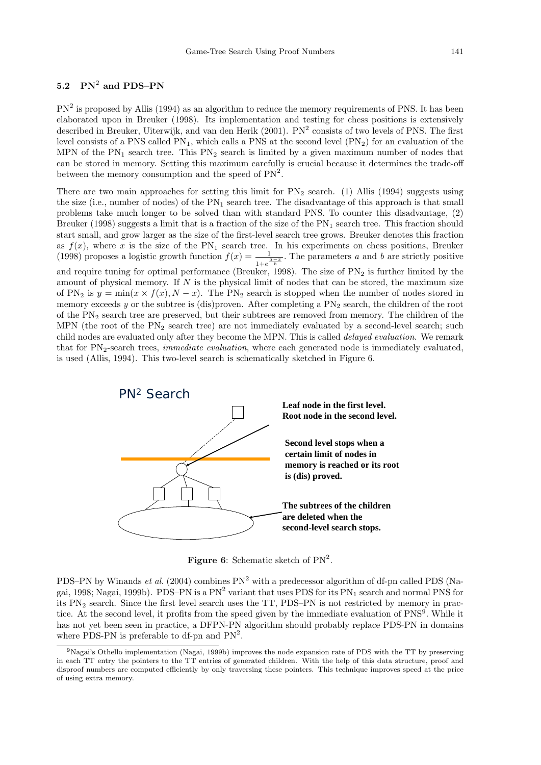# $5.2\quad {\rm PN}^2$  and PDS–PN

 $PN<sup>2</sup>$  is proposed by Allis (1994) as an algorithm to reduce the memory requirements of PNS. It has been elaborated upon in Breuker (1998). Its implementation and testing for chess positions is extensively described in Breuker, Uiterwijk, and van den Herik (2001). PN<sup>2</sup> consists of two levels of PNS. The first level consists of a PNS called  $PN_1$ , which calls a PNS at the second level  $(PN_2)$  for an evaluation of the MPN of the  $PN_1$  search tree. This  $PN_2$  search is limited by a given maximum number of nodes that can be stored in memory. Setting this maximum carefully is crucial because it determines the trade-off between the memory consumption and the speed of  $PN^2$ .

There are two main approaches for setting this limit for  $PN<sub>2</sub>$  search. (1) Allis (1994) suggests using the size (i.e., number of nodes) of the  $PN_1$  search tree. The disadvantage of this approach is that small problems take much longer to be solved than with standard PNS. To counter this disadvantage, (2) Breuker (1998) suggests a limit that is a fraction of the size of the  $PN_1$  search tree. This fraction should start small, and grow larger as the size of the first-level search tree grows. Breuker denotes this fraction as  $f(x)$ , where x is the size of the PN<sub>1</sub> search tree. In his experiments on chess positions, Breuker (1998) proposes a logistic growth function  $f(x) = \frac{1}{1 + e^{\frac{a-x}{b}}}$ . The parameters a and b are strictly positive and require tuning for optimal performance (Breuker, 1998). The size of  $PN<sub>2</sub>$  is further limited by the amount of physical memory. If  $N$  is the physical limit of nodes that can be stored, the maximum size of PN<sub>2</sub> is  $y = min(x \times f(x), N - x)$ . The PN<sub>2</sub> search is stopped when the number of nodes stored in memory exceeds y or the subtree is (dis)proven. After completing a  $PN<sub>2</sub>$  search, the children of the root of the  $PN<sub>2</sub>$  search tree are preserved, but their subtrees are removed from memory. The children of the MPN (the root of the  $PN<sub>2</sub>$  search tree) are not immediately evaluated by a second-level search; such child nodes are evaluated only after they become the MPN. This is called *delayed evaluation*. We remark that for PN<sub>2</sub>-search trees, *immediate evaluation*, where each generated node is immediately evaluated, is used (Allis, 1994). This two-level search is schematically sketched in Figure 6.



Figure 6: Schematic sketch of  $PN^2$ .

PDS–PN by Winands *et al.* (2004) combines  $PN<sup>2</sup>$  with a predecessor algorithm of df-pn called PDS (Nagai, 1998; Nagai, 1999b). PDS–PN is a  $PN^2$  variant that uses PDS for its  $PN_1$  search and normal PNS for its PN<sup>2</sup> search. Since the first level search uses the TT, PDS–PN is not restricted by memory in practice. At the second level, it profits from the speed given by the immediate evaluation of PNS<sup>9</sup>. While it has not yet been seen in practice, a DFPN-PN algorithm should probably replace PDS-PN in domains where PDS-PN is preferable to df-pn and  $PN^2$ .

<sup>9</sup>Nagai's Othello implementation (Nagai, 1999b) improves the node expansion rate of PDS with the TT by preserving in each TT entry the pointers to the TT entries of generated children. With the help of this data structure, proof and disproof numbers are computed efficiently by only traversing these pointers. This technique improves speed at the price of using extra memory.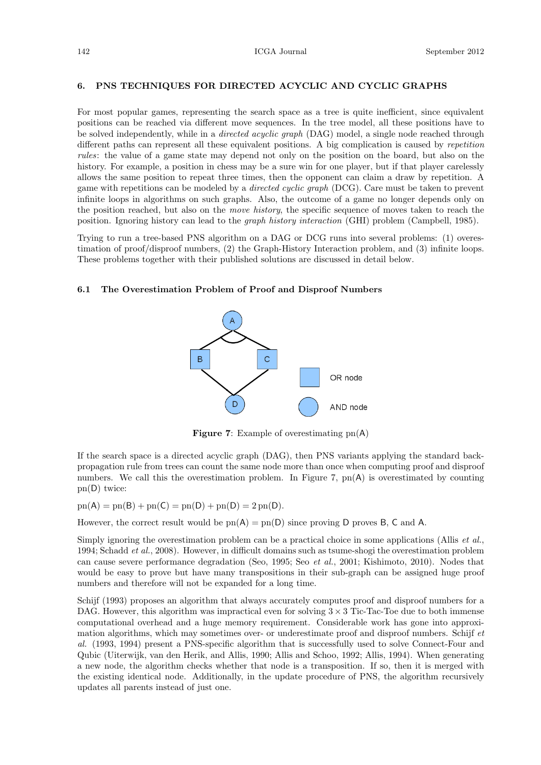#### 6. PNS TECHNIQUES FOR DIRECTED ACYCLIC AND CYCLIC GRAPHS

For most popular games, representing the search space as a tree is quite inefficient, since equivalent positions can be reached via different move sequences. In the tree model, all these positions have to be solved independently, while in a *directed acyclic graph* (DAG) model, a single node reached through different paths can represent all these equivalent positions. A big complication is caused by repetition rules: the value of a game state may depend not only on the position on the board, but also on the history. For example, a position in chess may be a sure win for one player, but if that player carelessly allows the same position to repeat three times, then the opponent can claim a draw by repetition. A game with repetitions can be modeled by a *directed cyclic graph* (DCG). Care must be taken to prevent infinite loops in algorithms on such graphs. Also, the outcome of a game no longer depends only on the position reached, but also on the move history, the specific sequence of moves taken to reach the position. Ignoring history can lead to the graph history interaction (GHI) problem (Campbell, 1985).

Trying to run a tree-based PNS algorithm on a DAG or DCG runs into several problems: (1) overestimation of proof/disproof numbers, (2) the Graph-History Interaction problem, and (3) infinite loops. These problems together with their published solutions are discussed in detail below.

### 6.1 The Overestimation Problem of Proof and Disproof Numbers



Figure 7: Example of overestimating pn(A)

If the search space is a directed acyclic graph (DAG), then PNS variants applying the standard backpropagation rule from trees can count the same node more than once when computing proof and disproof numbers. We call this the overestimation problem. In Figure 7,  $pn(A)$  is overestimated by counting pn(D) twice:

 $p_n(A) = p_n(B) + p_n(C) = p_n(D) + p_n(D) = 2 p_n(D).$ 

However, the correct result would be  $pn(A) = pn(D)$  since proving D proves B, C and A.

Simply ignoring the overestimation problem can be a practical choice in some applications (Allis *et al.*, 1994; Schadd et al., 2008). However, in difficult domains such as tsume-shogi the overestimation problem can cause severe performance degradation (Seo, 1995; Seo et al., 2001; Kishimoto, 2010). Nodes that would be easy to prove but have many transpositions in their sub-graph can be assigned huge proof numbers and therefore will not be expanded for a long time.

Schijf (1993) proposes an algorithm that always accurately computes proof and disproof numbers for a DAG. However, this algorithm was impractical even for solving  $3 \times 3$  Tic-Tac-Toe due to both immense computational overhead and a huge memory requirement. Considerable work has gone into approximation algorithms, which may sometimes over- or underestimate proof and disproof numbers. Schijf et al. (1993, 1994) present a PNS-specific algorithm that is successfully used to solve Connect-Four and Qubic (Uiterwijk, van den Herik, and Allis, 1990; Allis and Schoo, 1992; Allis, 1994). When generating a new node, the algorithm checks whether that node is a transposition. If so, then it is merged with the existing identical node. Additionally, in the update procedure of PNS, the algorithm recursively updates all parents instead of just one.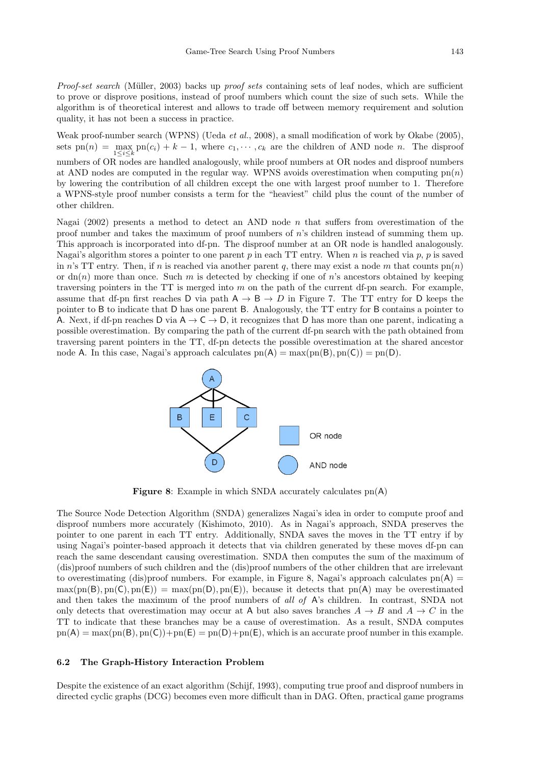Proof-set search (Müller, 2003) backs up proof sets containing sets of leaf nodes, which are sufficient to prove or disprove positions, instead of proof numbers which count the size of such sets. While the algorithm is of theoretical interest and allows to trade off between memory requirement and solution quality, it has not been a success in practice.

Weak proof-number search (WPNS) (Ueda et al., 2008), a small modification of work by Okabe (2005), sets  $pn(n) = \max_{1 \leq i \leq k} pn(c_i) + k - 1$ , where  $c_1, \dots, c_k$  are the children of AND node *n*. The disproof numbers of OR nodes are handled analogously, while proof numbers at OR nodes and disproof numbers at AND nodes are computed in the regular way. WPNS avoids overestimation when computing  $pn(n)$ by lowering the contribution of all children except the one with largest proof number to 1. Therefore a WPNS-style proof number consists a term for the "heaviest" child plus the count of the number of other children.

Nagai (2002) presents a method to detect an AND node  $n$  that suffers from overestimation of the proof number and takes the maximum of proof numbers of n's children instead of summing them up. This approach is incorporated into df-pn. The disproof number at an OR node is handled analogously. Nagai's algorithm stores a pointer to one parent p in each TT entry. When n is reached via p, p is saved in n's TT entry. Then, if n is reached via another parent q, there may exist a node m that counts  $\text{pn}(n)$ or  $dn(n)$  more than once. Such m is detected by checking if one of n's ancestors obtained by keeping traversing pointers in the TT is merged into  $m$  on the path of the current df-pn search. For example, assume that df-pn first reaches D via path  $A \rightarrow B \rightarrow D$  in Figure 7. The TT entry for D keeps the pointer to B to indicate that D has one parent B. Analogously, the TT entry for B contains a pointer to A. Next, if df-pn reaches D via  $A \rightarrow C \rightarrow D$ , it recognizes that D has more than one parent, indicating a possible overestimation. By comparing the path of the current df-pn search with the path obtained from traversing parent pointers in the TT, df-pn detects the possible overestimation at the shared ancestor node A. In this case, Nagai's approach calculates  $pn(A) = max(pn(B), pn(C)) = pn(D)$ .



**Figure 8:** Example in which SNDA accurately calculates  $pn(A)$ 

The Source Node Detection Algorithm (SNDA) generalizes Nagai's idea in order to compute proof and disproof numbers more accurately (Kishimoto, 2010). As in Nagai's approach, SNDA preserves the pointer to one parent in each TT entry. Additionally, SNDA saves the moves in the TT entry if by using Nagai's pointer-based approach it detects that via children generated by these moves df-pn can reach the same descendant causing overestimation. SNDA then computes the sum of the maximum of (dis)proof numbers of such children and the (dis)proof numbers of the other children that are irrelevant to overestimating (dis)proof numbers. For example, in Figure 8, Nagai's approach calculates  $pn(A)$  $\max(\text{pn}(B), \text{pn}(C), \text{pn}(E)) = \max(\text{pn}(D), \text{pn}(E))$ , because it detects that  $\text{pn}(A)$  may be overestimated and then takes the maximum of the proof numbers of all of A's children. In contrast, SNDA not only detects that overestimation may occur at A but also saves branches  $A \to B$  and  $A \to C$  in the TT to indicate that these branches may be a cause of overestimation. As a result, SNDA computes  $p_n(A) = \max(p_n(B), p_n(C)) + p_n(E) = p_n(D) + p_n(E)$ , which is an accurate proof number in this example.

#### 6.2 The Graph-History Interaction Problem

Despite the existence of an exact algorithm (Schijf, 1993), computing true proof and disproof numbers in directed cyclic graphs (DCG) becomes even more difficult than in DAG. Often, practical game programs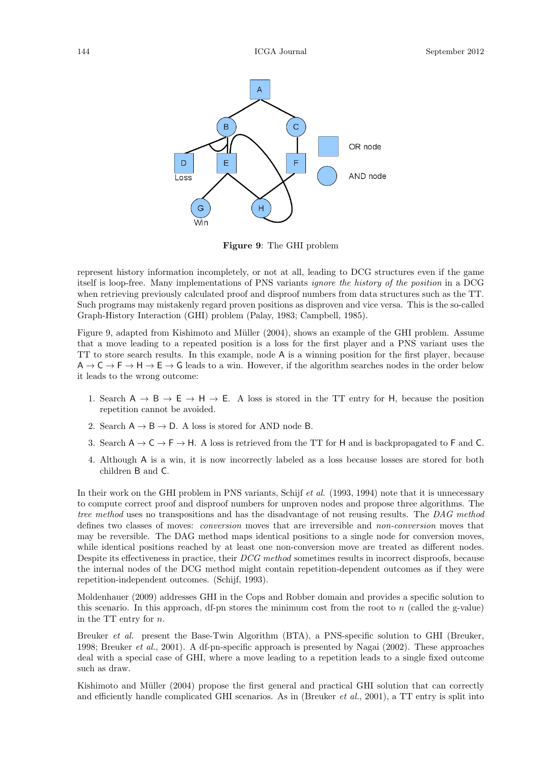

Figure 9: The GHI problem

represent history information incompletely, or not at all, leading to DCG structures even if the game itself is loop-free. Many implementations of PNS variants ignore the history of the position in a DCG when retrieving previously calculated proof and disproof numbers from data structures such as the TT. Such programs may mistakenly regard proven positions as disproven and vice versa. This is the so-called Graph-History Interaction (GHI) problem (Palay, 1983; Campbell, 1985).

Figure 9, adapted from Kishimoto and Müller (2004), shows an example of the GHI problem. Assume that a move leading to a repeated position is a loss for the first player and a PNS variant uses the TT to store search results. In this example, node A is a winning position for the first player, because  $A \rightarrow C \rightarrow F \rightarrow H \rightarrow E \rightarrow G$  leads to a win. However, if the algorithm searches nodes in the order below it leads to the wrong outcome:

- 1. Search  $A \rightarrow B \rightarrow E \rightarrow H \rightarrow E$ . A loss is stored in the TT entry for H, because the position repetition cannot be avoided.
- 2. Search  $A \rightarrow B \rightarrow D$ . A loss is stored for AND node B.
- 3. Search  $A \rightarrow C \rightarrow F \rightarrow H$ . A loss is retrieved from the TT for H and is backpropagated to F and C.
- 4. Although A is a win, it is now incorrectly labeled as a loss because losses are stored for both children B and C.

In their work on the GHI problem in PNS variants, Schijf et al. (1993, 1994) note that it is unnecessary to compute correct proof and disproof numbers for unproven nodes and propose three algorithms. The tree method uses no transpositions and has the disadvantage of not reusing results. The DAG method defines two classes of moves: conversion moves that are irreversible and non-conversion moves that may be reversible. The DAG method maps identical positions to a single node for conversion moves, while identical positions reached by at least one non-conversion move are treated as different nodes. Despite its effectiveness in practice, their DCG method sometimes results in incorrect disproofs, because the internal nodes of the DCG method might contain repetition-dependent outcomes as if they were repetition-independent outcomes. (Schijf, 1993).

Moldenhauer (2009) addresses GHI in the Cops and Robber domain and provides a specific solution to this scenario. In this approach, df-pn stores the minimum cost from the root to  $n$  (called the g-value) in the TT entry for n.

Breuker *et al.* present the Base-Twin Algorithm (BTA), a PNS-specific solution to GHI (Breuker, 1998; Breuker et al., 2001). A df-pn-specific approach is presented by Nagai (2002). These approaches deal with a special case of GHI, where a move leading to a repetition leads to a single fixed outcome such as draw.

Kishimoto and Müller (2004) propose the first general and practical GHI solution that can correctly and efficiently handle complicated GHI scenarios. As in (Breuker *et al.*, 2001), a TT entry is split into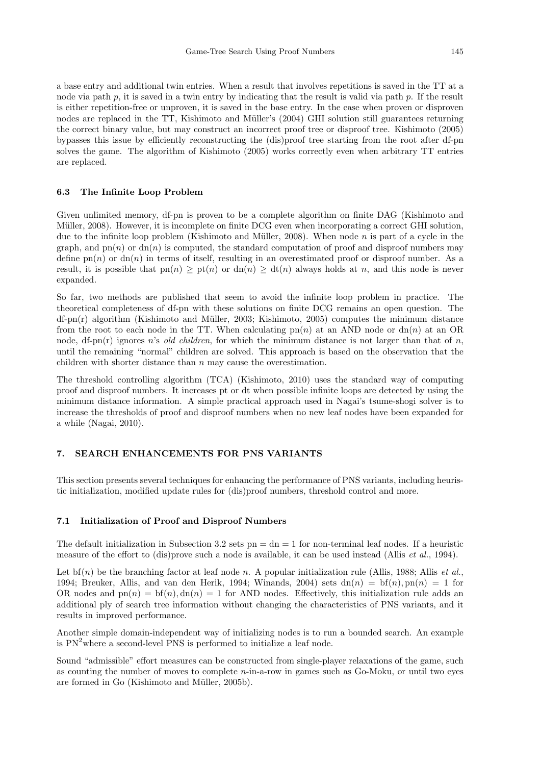a base entry and additional twin entries. When a result that involves repetitions is saved in the TT at a node via path p, it is saved in a twin entry by indicating that the result is valid via path p. If the result is either repetition-free or unproven, it is saved in the base entry. In the case when proven or disproven nodes are replaced in the TT, Kishimoto and Müller's (2004) GHI solution still guarantees returning the correct binary value, but may construct an incorrect proof tree or disproof tree. Kishimoto (2005) bypasses this issue by efficiently reconstructing the (dis)proof tree starting from the root after df-pn solves the game. The algorithm of Kishimoto (2005) works correctly even when arbitrary TT entries are replaced.

### 6.3 The Infinite Loop Problem

Given unlimited memory, df-pn is proven to be a complete algorithm on finite DAG (Kishimoto and Müller, 2008). However, it is incomplete on finite DCG even when incorporating a correct GHI solution, due to the infinite loop problem (Kishimoto and Müller, 2008). When node  $n$  is part of a cycle in the graph, and  $p(n)$  or  $dn(n)$  is computed, the standard computation of proof and disproof numbers may define  $p(n)$  or  $dn(n)$  in terms of itself, resulting in an overestimated proof or disproof number. As a result, it is possible that  $p(n) \geq p(n)$  or  $dn(n) \geq dt(n)$  always holds at n, and this node is never expanded.

So far, two methods are published that seem to avoid the infinite loop problem in practice. The theoretical completeness of df-pn with these solutions on finite DCG remains an open question. The  $df$ -pn(r) algorithm (Kishimoto and Müller, 2003; Kishimoto, 2005) computes the minimum distance from the root to each node in the TT. When calculating  $p_n(n)$  at an AND node or  $dn(n)$  at an OR node, df-pn(r) ignores n's old children, for which the minimum distance is not larger than that of n, until the remaining "normal" children are solved. This approach is based on the observation that the children with shorter distance than  $n$  may cause the overestimation.

The threshold controlling algorithm (TCA) (Kishimoto, 2010) uses the standard way of computing proof and disproof numbers. It increases pt or dt when possible infinite loops are detected by using the minimum distance information. A simple practical approach used in Nagai's tsume-shogi solver is to increase the thresholds of proof and disproof numbers when no new leaf nodes have been expanded for a while (Nagai, 2010).

### 7. SEARCH ENHANCEMENTS FOR PNS VARIANTS

This section presents several techniques for enhancing the performance of PNS variants, including heuristic initialization, modified update rules for (dis)proof numbers, threshold control and more.

### 7.1 Initialization of Proof and Disproof Numbers

The default initialization in Subsection 3.2 sets  $pn = dn = 1$  for non-terminal leaf nodes. If a heuristic measure of the effort to (dis)prove such a node is available, it can be used instead (Allis *et al.*, 1994).

Let bf(n) be the branching factor at leaf node n. A popular initialization rule (Allis, 1988; Allis *et al.*, 1994; Breuker, Allis, and van den Herik, 1994; Winands, 2004) sets  $dn(n) = bf(n)$ ,  $pn(n) = 1$  for OR nodes and  $p_n(n) = bf(n)$ ,  $dn(n) = 1$  for AND nodes. Effectively, this initialization rule adds an additional ply of search tree information without changing the characteristics of PNS variants, and it results in improved performance.

Another simple domain-independent way of initializing nodes is to run a bounded search. An example is  $PN<sup>2</sup>$  where a second-level PNS is performed to initialize a leaf node.

Sound "admissible" effort measures can be constructed from single-player relaxations of the game, such as counting the number of moves to complete n-in-a-row in games such as Go-Moku, or until two eyes are formed in Go (Kishimoto and Müller, 2005b).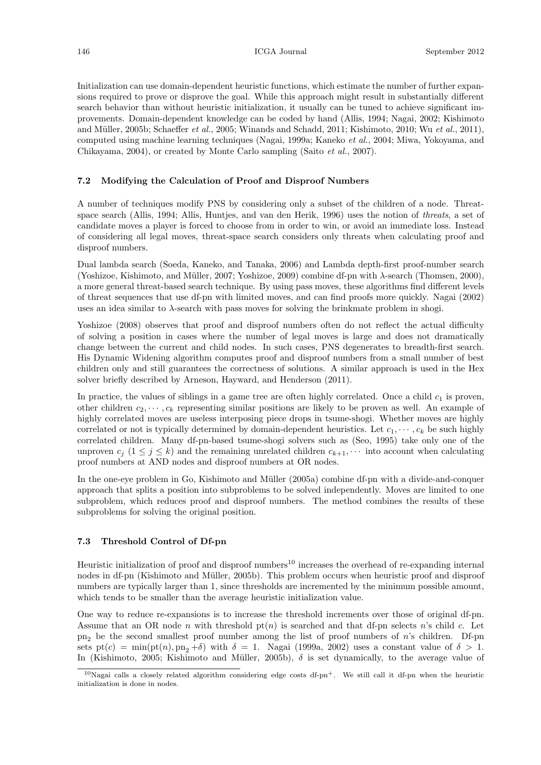Initialization can use domain-dependent heuristic functions, which estimate the number of further expansions required to prove or disprove the goal. While this approach might result in substantially different search behavior than without heuristic initialization, it usually can be tuned to achieve significant improvements. Domain-dependent knowledge can be coded by hand (Allis, 1994; Nagai, 2002; Kishimoto and Müller, 2005b; Schaeffer et al., 2005; Winands and Schadd, 2011; Kishimoto, 2010; Wu et al., 2011), computed using machine learning techniques (Nagai, 1999a; Kaneko et al., 2004; Miwa, Yokoyama, and Chikayama, 2004), or created by Monte Carlo sampling (Saito et al., 2007).

### 7.2 Modifying the Calculation of Proof and Disproof Numbers

A number of techniques modify PNS by considering only a subset of the children of a node. Threatspace search (Allis, 1994; Allis, Huntjes, and van den Herik, 1996) uses the notion of threats, a set of candidate moves a player is forced to choose from in order to win, or avoid an immediate loss. Instead of considering all legal moves, threat-space search considers only threats when calculating proof and disproof numbers.

Dual lambda search (Soeda, Kaneko, and Tanaka, 2006) and Lambda depth-first proof-number search (Yoshizoe, Kishimoto, and Müller, 2007; Yoshizoe, 2009) combine df-pn with  $\lambda$ -search (Thomsen, 2000), a more general threat-based search technique. By using pass moves, these algorithms find different levels of threat sequences that use df-pn with limited moves, and can find proofs more quickly. Nagai (2002) uses an idea similar to λ-search with pass moves for solving the brinkmate problem in shogi.

Yoshizoe (2008) observes that proof and disproof numbers often do not reflect the actual difficulty of solving a position in cases where the number of legal moves is large and does not dramatically change between the current and child nodes. In such cases, PNS degenerates to breadth-first search. His Dynamic Widening algorithm computes proof and disproof numbers from a small number of best children only and still guarantees the correctness of solutions. A similar approach is used in the Hex solver briefly described by Arneson, Hayward, and Henderson (2011).

In practice, the values of siblings in a game tree are often highly correlated. Once a child  $c<sub>1</sub>$  is proven, other children  $c_2, \dots, c_k$  representing similar positions are likely to be proven as well. An example of highly correlated moves are useless interposing piece drops in tsume-shogi. Whether moves are highly correlated or not is typically determined by domain-dependent heuristics. Let  $c_1, \dots, c_k$  be such highly correlated children. Many df-pn-based tsume-shogi solvers such as (Seo, 1995) take only one of the unproven  $c_j$   $(1 \leq j \leq k)$  and the remaining unrelated children  $c_{k+1}, \cdots$  into account when calculating proof numbers at AND nodes and disproof numbers at OR nodes.

In the one-eye problem in Go, Kishimoto and Müller (2005a) combine df-pn with a divide-and-conquer approach that splits a position into subproblems to be solved independently. Moves are limited to one subproblem, which reduces proof and disproof numbers. The method combines the results of these subproblems for solving the original position.

### 7.3 Threshold Control of Df-pn

Heuristic initialization of proof and disproof numbers<sup>10</sup> increases the overhead of re-expanding internal nodes in df-pn (Kishimoto and Müller, 2005b). This problem occurs when heuristic proof and disproof numbers are typically larger than 1, since thresholds are incremented by the minimum possible amount, which tends to be smaller than the average heuristic initialization value.

One way to reduce re-expansions is to increase the threshold increments over those of original df-pn. Assume that an OR node n with threshold  $p(n)$  is searched and that df-pn selects n's child c. Let  $pn<sub>2</sub>$  be the second smallest proof number among the list of proof numbers of n's children. Df-pn sets  $pt(c) = min(pt(n), pn_2 + \delta)$  with  $\delta = 1$ . Nagai (1999a, 2002) uses a constant value of  $\delta > 1$ . In (Kishimoto, 2005; Kishimoto and Müller, 2005b),  $\delta$  is set dynamically, to the average value of

 $10$ Nagai calls a closely related algorithm considering edge costs df-pn<sup>+</sup>. We still call it df-pn when the heuristic initialization is done in nodes.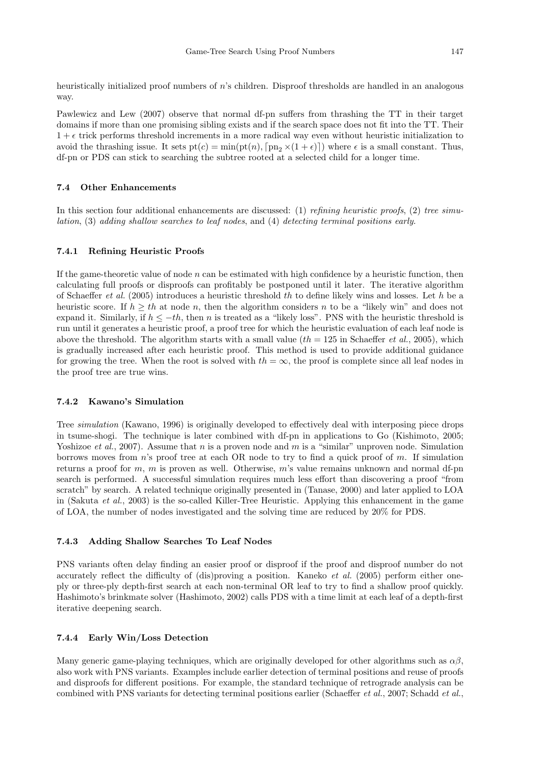heuristically initialized proof numbers of n's children. Disproof thresholds are handled in an analogous way.

Pawlewicz and Lew (2007) observe that normal df-pn suffers from thrashing the TT in their target domains if more than one promising sibling exists and if the search space does not fit into the TT. Their  $1 + \epsilon$  trick performs threshold increments in a more radical way even without heuristic initialization to avoid the thrashing issue. It sets  $pt(c) = min(pt(n), [pn_2 \times (1 + \epsilon)])$  where  $\epsilon$  is a small constant. Thus, df-pn or PDS can stick to searching the subtree rooted at a selected child for a longer time.

# 7.4 Other Enhancements

In this section four additional enhancements are discussed: (1) refining heuristic proofs, (2) tree simulation, (3) adding shallow searches to leaf nodes, and (4) detecting terminal positions early.

#### 7.4.1 Refining Heuristic Proofs

If the game-theoretic value of node  $n$  can be estimated with high confidence by a heuristic function, then calculating full proofs or disproofs can profitably be postponed until it later. The iterative algorithm of Schaeffer et al. (2005) introduces a heuristic threshold th to define likely wins and losses. Let h be a heuristic score. If  $h \geq th$  at node n, then the algorithm considers n to be a "likely win" and does not expand it. Similarly, if  $h \leq -th$ , then n is treated as a "likely loss". PNS with the heuristic threshold is run until it generates a heuristic proof, a proof tree for which the heuristic evaluation of each leaf node is above the threshold. The algorithm starts with a small value  $(th = 125$  in Schaeffer *et al.*, 2005), which is gradually increased after each heuristic proof. This method is used to provide additional guidance for growing the tree. When the root is solved with  $th = \infty$ , the proof is complete since all leaf nodes in the proof tree are true wins.

### 7.4.2 Kawano's Simulation

Tree simulation (Kawano, 1996) is originally developed to effectively deal with interposing piece drops in tsume-shogi. The technique is later combined with df-pn in applications to Go (Kishimoto, 2005; Yoshizoe et al., 2007). Assume that n is a proven node and m is a "similar" unproven node. Simulation borrows moves from  $n$ 's proof tree at each OR node to try to find a quick proof of m. If simulation returns a proof for  $m$ ,  $m$  is proven as well. Otherwise,  $m$ 's value remains unknown and normal df-pn search is performed. A successful simulation requires much less effort than discovering a proof "from scratch" by search. A related technique originally presented in (Tanase, 2000) and later applied to LOA in (Sakuta et al., 2003) is the so-called Killer-Tree Heuristic. Applying this enhancement in the game of LOA, the number of nodes investigated and the solving time are reduced by 20% for PDS.

#### 7.4.3 Adding Shallow Searches To Leaf Nodes

PNS variants often delay finding an easier proof or disproof if the proof and disproof number do not accurately reflect the difficulty of (dis)proving a position. Kaneko et al. (2005) perform either oneply or three-ply depth-first search at each non-terminal OR leaf to try to find a shallow proof quickly. Hashimoto's brinkmate solver (Hashimoto, 2002) calls PDS with a time limit at each leaf of a depth-first iterative deepening search.

### 7.4.4 Early Win/Loss Detection

Many generic game-playing techniques, which are originally developed for other algorithms such as  $\alpha\beta$ , also work with PNS variants. Examples include earlier detection of terminal positions and reuse of proofs and disproofs for different positions. For example, the standard technique of retrograde analysis can be combined with PNS variants for detecting terminal positions earlier (Schaeffer et al., 2007; Schadd et al.,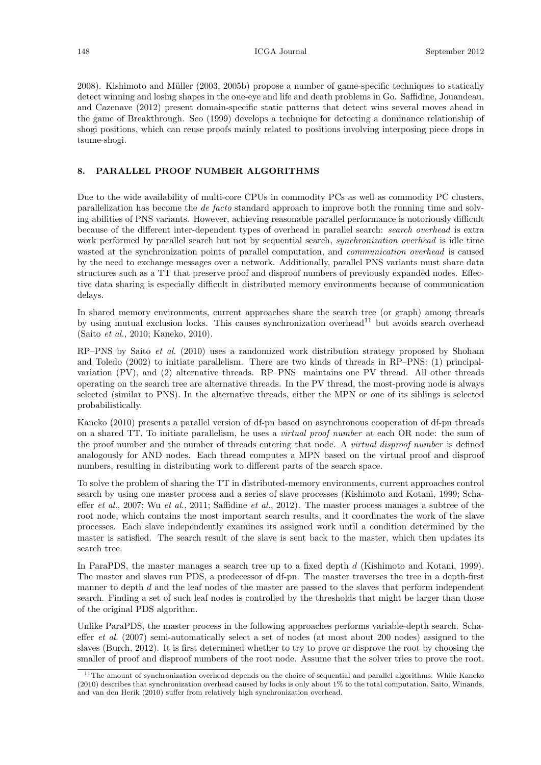2008). Kishimoto and Müller (2003, 2005b) propose a number of game-specific techniques to statically detect winning and losing shapes in the one-eye and life and death problems in Go. Saffidine, Jouandeau, and Cazenave (2012) present domain-specific static patterns that detect wins several moves ahead in the game of Breakthrough. Seo (1999) develops a technique for detecting a dominance relationship of shogi positions, which can reuse proofs mainly related to positions involving interposing piece drops in tsume-shogi.

### 8. PARALLEL PROOF NUMBER ALGORITHMS

Due to the wide availability of multi-core CPUs in commodity PCs as well as commodity PC clusters, parallelization has become the de facto standard approach to improve both the running time and solving abilities of PNS variants. However, achieving reasonable parallel performance is notoriously difficult because of the different inter-dependent types of overhead in parallel search: search overhead is extra work performed by parallel search but not by sequential search, *synchronization overhead* is idle time wasted at the synchronization points of parallel computation, and *communication overhead* is caused by the need to exchange messages over a network. Additionally, parallel PNS variants must share data structures such as a TT that preserve proof and disproof numbers of previously expanded nodes. Effective data sharing is especially difficult in distributed memory environments because of communication delays.

In shared memory environments, current approaches share the search tree (or graph) among threads by using mutual exclusion locks. This causes synchronization overhead<sup>11</sup> but avoids search overhead (Saito et al., 2010; Kaneko, 2010).

RP–PNS by Saito et al. (2010) uses a randomized work distribution strategy proposed by Shoham and Toledo (2002) to initiate parallelism. There are two kinds of threads in RP–PNS: (1) principalvariation (PV), and (2) alternative threads. RP–PNS maintains one PV thread. All other threads operating on the search tree are alternative threads. In the PV thread, the most-proving node is always selected (similar to PNS). In the alternative threads, either the MPN or one of its siblings is selected probabilistically.

Kaneko (2010) presents a parallel version of df-pn based on asynchronous cooperation of df-pn threads on a shared TT. To initiate parallelism, he uses a virtual proof number at each OR node: the sum of the proof number and the number of threads entering that node. A *virtual disproof number* is defined analogously for AND nodes. Each thread computes a MPN based on the virtual proof and disproof numbers, resulting in distributing work to different parts of the search space.

To solve the problem of sharing the TT in distributed-memory environments, current approaches control search by using one master process and a series of slave processes (Kishimoto and Kotani, 1999; Schaeffer et al., 2007; Wu et al., 2011; Saffidine et al., 2012). The master process manages a subtree of the root node, which contains the most important search results, and it coordinates the work of the slave processes. Each slave independently examines its assigned work until a condition determined by the master is satisfied. The search result of the slave is sent back to the master, which then updates its search tree.

In ParaPDS, the master manages a search tree up to a fixed depth d (Kishimoto and Kotani, 1999). The master and slaves run PDS, a predecessor of df-pn. The master traverses the tree in a depth-first manner to depth d and the leaf nodes of the master are passed to the slaves that perform independent search. Finding a set of such leaf nodes is controlled by the thresholds that might be larger than those of the original PDS algorithm.

Unlike ParaPDS, the master process in the following approaches performs variable-depth search. Schaeffer et al. (2007) semi-automatically select a set of nodes (at most about 200 nodes) assigned to the slaves (Burch, 2012). It is first determined whether to try to prove or disprove the root by choosing the smaller of proof and disproof numbers of the root node. Assume that the solver tries to prove the root.

<sup>&</sup>lt;sup>11</sup>The amount of synchronization overhead depends on the choice of sequential and parallel algorithms. While Kaneko (2010) describes that synchronization overhead caused by locks is only about 1% to the total computation, Saito, Winands, and van den Herik (2010) suffer from relatively high synchronization overhead.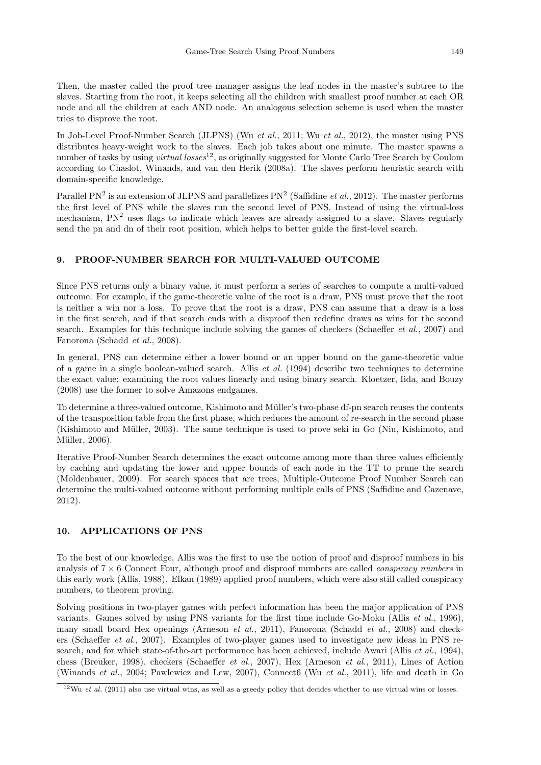Then, the master called the proof tree manager assigns the leaf nodes in the master's subtree to the slaves. Starting from the root, it keeps selecting all the children with smallest proof number at each OR node and all the children at each AND node. An analogous selection scheme is used when the master tries to disprove the root.

In Job-Level Proof-Number Search (JLPNS) (Wu et al., 2011; Wu et al., 2012), the master using PNS distributes heavy-weight work to the slaves. Each job takes about one minute. The master spawns a number of tasks by using *virtual losses*<sup>12</sup>, as originally suggested for Monte Carlo Tree Search by Coulom according to Chaslot, Winands, and van den Herik (2008a). The slaves perform heuristic search with domain-specific knowledge.

Parallel PN<sup>2</sup> is an extension of JLPNS and parallelizes PN<sup>2</sup> (Saffidine *et al.*, 2012). The master performs the first level of PNS while the slaves run the second level of PNS. Instead of using the virtual-loss mechanism,  $PN<sup>2</sup>$  uses flags to indicate which leaves are already assigned to a slave. Slaves regularly send the pn and dn of their root position, which helps to better guide the first-level search.

### 9. PROOF-NUMBER SEARCH FOR MULTI-VALUED OUTCOME

Since PNS returns only a binary value, it must perform a series of searches to compute a multi-valued outcome. For example, if the game-theoretic value of the root is a draw, PNS must prove that the root is neither a win nor a loss. To prove that the root is a draw, PNS can assume that a draw is a loss in the first search, and if that search ends with a disproof then redefine draws as wins for the second search. Examples for this technique include solving the games of checkers (Schaeffer et al., 2007) and Fanorona (Schadd et al., 2008).

In general, PNS can determine either a lower bound or an upper bound on the game-theoretic value of a game in a single boolean-valued search. Allis et al. (1994) describe two techniques to determine the exact value: examining the root values linearly and using binary search. Kloetzer, Iida, and Bouzy (2008) use the former to solve Amazons endgames.

To determine a three-valued outcome, Kishimoto and Müller's two-phase df-pn search reuses the contents of the transposition table from the first phase, which reduces the amount of re-search in the second phase (Kishimoto and Müller, 2003). The same technique is used to prove seki in Go (Niu, Kishimoto, and Müller, 2006).

Iterative Proof-Number Search determines the exact outcome among more than three values efficiently by caching and updating the lower and upper bounds of each node in the TT to prune the search (Moldenhauer, 2009). For search spaces that are trees, Multiple-Outcome Proof Number Search can determine the multi-valued outcome without performing multiple calls of PNS (Saffidine and Cazenave, 2012).

### 10. APPLICATIONS OF PNS

To the best of our knowledge, Allis was the first to use the notion of proof and disproof numbers in his analysis of  $7 \times 6$  Connect Four, although proof and disproof numbers are called *conspiracy numbers* in this early work (Allis, 1988). Elkan (1989) applied proof numbers, which were also still called conspiracy numbers, to theorem proving.

Solving positions in two-player games with perfect information has been the major application of PNS variants. Games solved by using PNS variants for the first time include Go-Moku (Allis et al., 1996), many small board Hex openings (Arneson et al., 2011), Fanorona (Schadd et al., 2008) and checkers (Schaeffer et al., 2007). Examples of two-player games used to investigate new ideas in PNS research, and for which state-of-the-art performance has been achieved, include Awari (Allis *et al.*, 1994), chess (Breuker, 1998), checkers (Schaeffer et al., 2007), Hex (Arneson et al., 2011), Lines of Action (Winands et al., 2004; Pawlewicz and Lew, 2007), Connect6 (Wu et al., 2011), life and death in Go

 $12$ Wu et al. (2011) also use virtual wins, as well as a greedy policy that decides whether to use virtual wins or losses.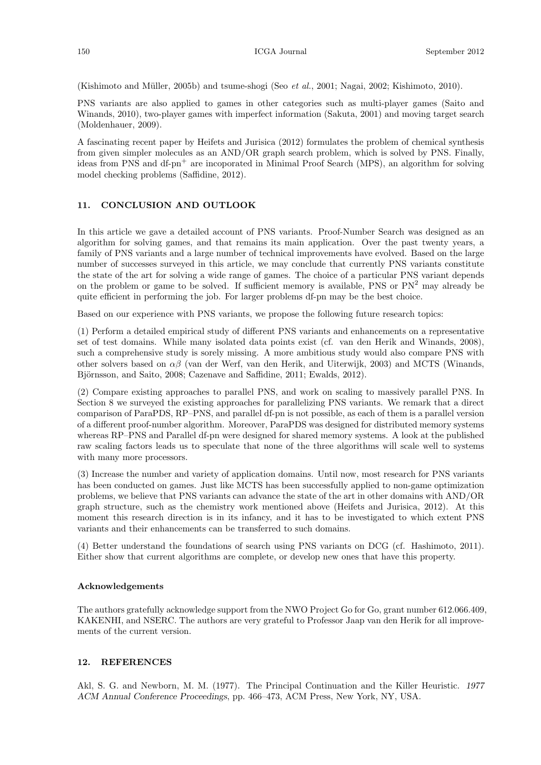(Kishimoto and Müller, 2005b) and tsume-shogi (Seo et al., 2001; Nagai, 2002; Kishimoto, 2010).

PNS variants are also applied to games in other categories such as multi-player games (Saito and Winands, 2010), two-player games with imperfect information (Sakuta, 2001) and moving target search (Moldenhauer, 2009).

A fascinating recent paper by Heifets and Jurisica (2012) formulates the problem of chemical synthesis from given simpler molecules as an AND/OR graph search problem, which is solved by PNS. Finally, ideas from PNS and df-pn<sup>+</sup> are incoporated in Minimal Proof Search (MPS), an algorithm for solving model checking problems (Saffidine, 2012).

# 11. CONCLUSION AND OUTLOOK

In this article we gave a detailed account of PNS variants. Proof-Number Search was designed as an algorithm for solving games, and that remains its main application. Over the past twenty years, a family of PNS variants and a large number of technical improvements have evolved. Based on the large number of successes surveyed in this article, we may conclude that currently PNS variants constitute the state of the art for solving a wide range of games. The choice of a particular PNS variant depends on the problem or game to be solved. If sufficient memory is available, PNS or  $PN<sup>2</sup>$  may already be quite efficient in performing the job. For larger problems df-pn may be the best choice.

Based on our experience with PNS variants, we propose the following future research topics:

(1) Perform a detailed empirical study of different PNS variants and enhancements on a representative set of test domains. While many isolated data points exist (cf. van den Herik and Winands, 2008), such a comprehensive study is sorely missing. A more ambitious study would also compare PNS with other solvers based on  $\alpha\beta$  (van der Werf, van den Herik, and Uiterwijk, 2003) and MCTS (Winands, Björnsson, and Saito, 2008; Cazenave and Saffidine, 2011; Ewalds, 2012).

(2) Compare existing approaches to parallel PNS, and work on scaling to massively parallel PNS. In Section 8 we surveyed the existing approaches for parallelizing PNS variants. We remark that a direct comparison of ParaPDS, RP–PNS, and parallel df-pn is not possible, as each of them is a parallel version of a different proof-number algorithm. Moreover, ParaPDS was designed for distributed memory systems whereas RP–PNS and Parallel df-pn were designed for shared memory systems. A look at the published raw scaling factors leads us to speculate that none of the three algorithms will scale well to systems with many more processors.

(3) Increase the number and variety of application domains. Until now, most research for PNS variants has been conducted on games. Just like MCTS has been successfully applied to non-game optimization problems, we believe that PNS variants can advance the state of the art in other domains with AND/OR graph structure, such as the chemistry work mentioned above (Heifets and Jurisica, 2012). At this moment this research direction is in its infancy, and it has to be investigated to which extent PNS variants and their enhancements can be transferred to such domains.

(4) Better understand the foundations of search using PNS variants on DCG (cf. Hashimoto, 2011). Either show that current algorithms are complete, or develop new ones that have this property.

# Acknowledgements

The authors gratefully acknowledge support from the NWO Project Go for Go, grant number 612.066.409, KAKENHI, and NSERC. The authors are very grateful to Professor Jaap van den Herik for all improvements of the current version.

# 12. REFERENCES

Akl, S. G. and Newborn, M. M. (1977). The Principal Continuation and the Killer Heuristic. 1977 ACM Annual Conference Proceedings, pp. 466–473, ACM Press, New York, NY, USA.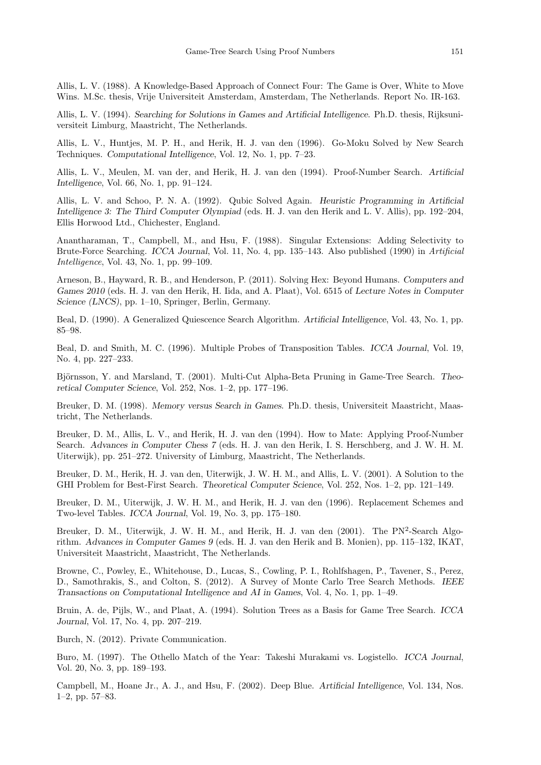Allis, L. V. (1988). A Knowledge-Based Approach of Connect Four: The Game is Over, White to Move Wins. M.Sc. thesis, Vrije Universiteit Amsterdam, Amsterdam, The Netherlands. Report No. IR-163.

Allis, L. V. (1994). Searching for Solutions in Games and Artificial Intelligence. Ph.D. thesis, Rijksuniversiteit Limburg, Maastricht, The Netherlands.

Allis, L. V., Huntjes, M. P. H., and Herik, H. J. van den (1996). Go-Moku Solved by New Search Techniques. Computational Intelligence, Vol. 12, No. 1, pp. 7–23.

Allis, L. V., Meulen, M. van der, and Herik, H. J. van den (1994). Proof-Number Search. Artificial Intelligence, Vol. 66, No. 1, pp. 91–124.

Allis, L. V. and Schoo, P. N. A. (1992). Qubic Solved Again. Heuristic Programming in Artificial Intelligence 3: The Third Computer Olympiad (eds. H. J. van den Herik and L. V. Allis), pp. 192–204, Ellis Horwood Ltd., Chichester, England.

Anantharaman, T., Campbell, M., and Hsu, F. (1988). Singular Extensions: Adding Selectivity to Brute-Force Searching. ICCA Journal, Vol. 11, No. 4, pp. 135–143. Also published (1990) in Artificial Intelligence, Vol. 43, No. 1, pp. 99–109.

Arneson, B., Hayward, R. B., and Henderson, P. (2011). Solving Hex: Beyond Humans. Computers and Games 2010 (eds. H. J. van den Herik, H. Iida, and A. Plaat), Vol. 6515 of Lecture Notes in Computer Science (LNCS), pp. 1–10, Springer, Berlin, Germany.

Beal, D. (1990). A Generalized Quiescence Search Algorithm. Artificial Intelligence, Vol. 43, No. 1, pp. 85–98.

Beal, D. and Smith, M. C. (1996). Multiple Probes of Transposition Tables. ICCA Journal, Vol. 19, No. 4, pp. 227–233.

Björnsson, Y. and Marsland, T. (2001). Multi-Cut Alpha-Beta Pruning in Game-Tree Search. Theoretical Computer Science, Vol. 252, Nos. 1–2, pp. 177–196.

Breuker, D. M. (1998). Memory versus Search in Games. Ph.D. thesis, Universiteit Maastricht, Maastricht, The Netherlands.

Breuker, D. M., Allis, L. V., and Herik, H. J. van den (1994). How to Mate: Applying Proof-Number Search. Advances in Computer Chess 7 (eds. H. J. van den Herik, I. S. Herschberg, and J. W. H. M. Uiterwijk), pp. 251–272. University of Limburg, Maastricht, The Netherlands.

Breuker, D. M., Herik, H. J. van den, Uiterwijk, J. W. H. M., and Allis, L. V. (2001). A Solution to the GHI Problem for Best-First Search. Theoretical Computer Science, Vol. 252, Nos. 1–2, pp. 121–149.

Breuker, D. M., Uiterwijk, J. W. H. M., and Herik, H. J. van den (1996). Replacement Schemes and Two-level Tables. ICCA Journal, Vol. 19, No. 3, pp. 175–180.

Breuker, D. M., Uiterwijk, J. W. H. M., and Herik, H. J. van den (2001). The PN<sup>2</sup>-Search Algorithm. Advances in Computer Games 9 (eds. H. J. van den Herik and B. Monien), pp. 115–132, IKAT, Universiteit Maastricht, Maastricht, The Netherlands.

Browne, C., Powley, E., Whitehouse, D., Lucas, S., Cowling, P. I., Rohlfshagen, P., Tavener, S., Perez, D., Samothrakis, S., and Colton, S. (2012). A Survey of Monte Carlo Tree Search Methods. IEEE Transactions on Computational Intelligence and AI in Games, Vol. 4, No. 1, pp. 1–49.

Bruin, A. de, Pijls, W., and Plaat, A. (1994). Solution Trees as a Basis for Game Tree Search. ICCA Journal, Vol. 17, No. 4, pp. 207–219.

Burch, N. (2012). Private Communication.

Buro, M. (1997). The Othello Match of the Year: Takeshi Murakami vs. Logistello. ICCA Journal, Vol. 20, No. 3, pp. 189–193.

Campbell, M., Hoane Jr., A. J., and Hsu, F. (2002). Deep Blue. Artificial Intelligence, Vol. 134, Nos. 1–2, pp. 57–83.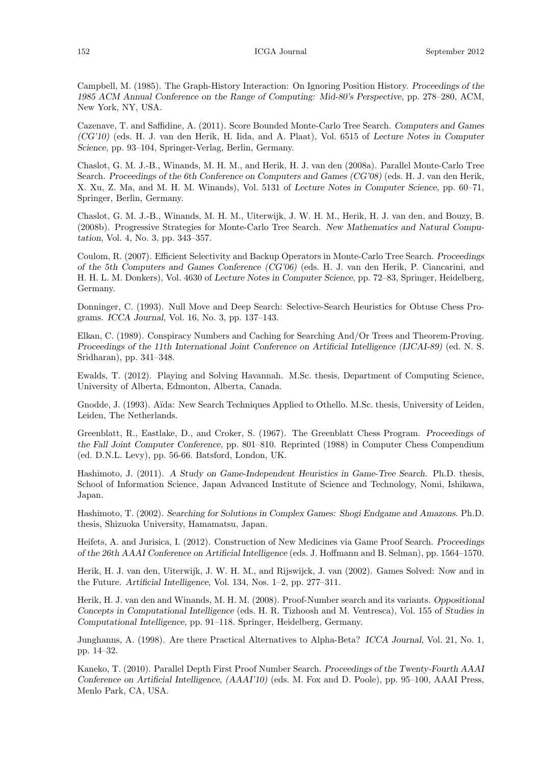Campbell, M. (1985). The Graph-History Interaction: On Ignoring Position History. Proceedings of the 1985 ACM Annual Conference on the Range of Computing: Mid-80's Perspective, pp. 278–280, ACM, New York, NY, USA.

Cazenave, T. and Saffidine, A. (2011). Score Bounded Monte-Carlo Tree Search. Computers and Games (CG'10) (eds. H. J. van den Herik, H. Iida, and A. Plaat), Vol. 6515 of Lecture Notes in Computer Science, pp. 93–104, Springer-Verlag, Berlin, Germany.

Chaslot, G. M. J.-B., Winands, M. H. M., and Herik, H. J. van den (2008a). Parallel Monte-Carlo Tree Search. Proceedings of the 6th Conference on Computers and Games (CG'08) (eds. H. J. van den Herik, X. Xu, Z. Ma, and M. H. M. Winands), Vol. 5131 of Lecture Notes in Computer Science, pp. 60–71, Springer, Berlin, Germany.

Chaslot, G. M. J.-B., Winands, M. H. M., Uiterwijk, J. W. H. M., Herik, H. J. van den, and Bouzy, B. (2008b). Progressive Strategies for Monte-Carlo Tree Search. New Mathematics and Natural Computation, Vol. 4, No. 3, pp. 343–357.

Coulom, R. (2007). Efficient Selectivity and Backup Operators in Monte-Carlo Tree Search. Proceedings of the 5th Computers and Games Conference (CG'06) (eds. H. J. van den Herik, P. Ciancarini, and H. H. L. M. Donkers), Vol. 4630 of Lecture Notes in Computer Science, pp. 72–83, Springer, Heidelberg, Germany.

Donninger, C. (1993). Null Move and Deep Search: Selective-Search Heuristics for Obtuse Chess Programs. ICCA Journal, Vol. 16, No. 3, pp. 137–143.

Elkan, C. (1989). Conspiracy Numbers and Caching for Searching And/Or Trees and Theorem-Proving. Proceedings of the 11th International Joint Conference on Artificial Intelligence (IJCAI-89) (ed. N. S. Sridharan), pp. 341–348.

Ewalds, T. (2012). Playing and Solving Havannah. M.Sc. thesis, Department of Computing Science, University of Alberta, Edmonton, Alberta, Canada.

Gnodde, J. (1993). Aïda: New Search Techniques Applied to Othello. M.Sc. thesis, University of Leiden, Leiden, The Netherlands.

Greenblatt, R., Eastlake, D., and Croker, S. (1967). The Greenblatt Chess Program. Proceedings of the Fall Joint Computer Conference, pp. 801–810. Reprinted (1988) in Computer Chess Compendium (ed. D.N.L. Levy), pp. 56-66. Batsford, London, UK.

Hashimoto, J. (2011). A Study on Game-Independent Heuristics in Game-Tree Search. Ph.D. thesis, School of Information Science, Japan Advanced Institute of Science and Technology, Nomi, Ishikawa, Japan.

Hashimoto, T. (2002). Searching for Solutions in Complex Games: Shogi Endgame and Amazons. Ph.D. thesis, Shizuoka University, Hamamatsu, Japan.

Heifets, A. and Jurisica, I. (2012). Construction of New Medicines via Game Proof Search. Proceedings of the 26th AAAI Conference on Artificial Intelligence (eds. J. Hoffmann and B. Selman), pp. 1564–1570.

Herik, H. J. van den, Uiterwijk, J. W. H. M., and Rijswijck, J. van (2002). Games Solved: Now and in the Future. Artificial Intelligence, Vol. 134, Nos. 1–2, pp. 277–311.

Herik, H. J. van den and Winands, M. H. M. (2008). Proof-Number search and its variants. Oppositional Concepts in Computational Intelligence (eds. H. R. Tizhoosh and M. Ventresca), Vol. 155 of Studies in Computational Intelligence, pp. 91–118. Springer, Heidelberg, Germany.

Junghanns, A. (1998). Are there Practical Alternatives to Alpha-Beta? ICCA Journal, Vol. 21, No. 1, pp. 14–32.

Kaneko, T. (2010). Parallel Depth First Proof Number Search. Proceedings of the Twenty-Fourth AAAI Conference on Artificial Intelligence, (AAAI'10) (eds. M. Fox and D. Poole), pp. 95–100, AAAI Press, Menlo Park, CA, USA.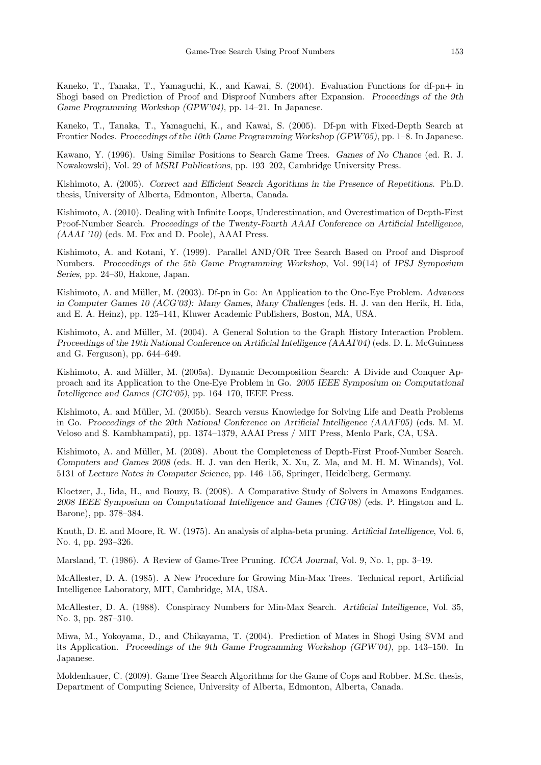Kaneko, T., Tanaka, T., Yamaguchi, K., and Kawai, S. (2004). Evaluation Functions for df-pn+ in Shogi based on Prediction of Proof and Disproof Numbers after Expansion. Proceedings of the 9th Game Programming Workshop (GPW'04), pp. 14–21. In Japanese.

Kaneko, T., Tanaka, T., Yamaguchi, K., and Kawai, S. (2005). Df-pn with Fixed-Depth Search at Frontier Nodes. Proceedings of the 10th Game Programming Workshop (GPW'05), pp. 1–8. In Japanese.

Kawano, Y. (1996). Using Similar Positions to Search Game Trees. Games of No Chance (ed. R. J. Nowakowski), Vol. 29 of MSRI Publications, pp. 193–202, Cambridge University Press.

Kishimoto, A. (2005). Correct and Efficient Search Agorithms in the Presence of Repetitions. Ph.D. thesis, University of Alberta, Edmonton, Alberta, Canada.

Kishimoto, A. (2010). Dealing with Infinite Loops, Underestimation, and Overestimation of Depth-First Proof-Number Search. Proceedings of the Twenty-Fourth AAAI Conference on Artificial Intelligence, (AAAI '10) (eds. M. Fox and D. Poole), AAAI Press.

Kishimoto, A. and Kotani, Y. (1999). Parallel AND/OR Tree Search Based on Proof and Disproof Numbers. Proceedings of the 5th Game Programming Workshop, Vol. 99(14) of IPSJ Symposium Series, pp. 24–30, Hakone, Japan.

Kishimoto, A. and Müller, M. (2003). Df-pn in Go: An Application to the One-Eye Problem. Advances in Computer Games 10 (ACG'03): Many Games, Many Challenges (eds. H. J. van den Herik, H. Iida, and E. A. Heinz), pp. 125–141, Kluwer Academic Publishers, Boston, MA, USA.

Kishimoto, A. and Müller, M. (2004). A General Solution to the Graph History Interaction Problem. Proceedings of the 19th National Conference on Artificial Intelligence (AAAI'04) (eds. D. L. McGuinness and G. Ferguson), pp. 644–649.

Kishimoto, A. and Müller, M. (2005a). Dynamic Decomposition Search: A Divide and Conquer Approach and its Application to the One-Eye Problem in Go. 2005 IEEE Symposium on Computational Intelligence and Games (CIG'05), pp. 164–170, IEEE Press.

Kishimoto, A. and Müller, M. (2005b). Search versus Knowledge for Solving Life and Death Problems in Go. Proceedings of the 20th National Conference on Artificial Intelligence (AAAI'05) (eds. M. M. Veloso and S. Kambhampati), pp. 1374–1379, AAAI Press / MIT Press, Menlo Park, CA, USA.

Kishimoto, A. and Müller, M. (2008). About the Completeness of Depth-First Proof-Number Search. Computers and Games 2008 (eds. H. J. van den Herik, X. Xu, Z. Ma, and M. H. M. Winands), Vol. 5131 of Lecture Notes in Computer Science, pp. 146–156, Springer, Heidelberg, Germany.

Kloetzer, J., Iida, H., and Bouzy, B. (2008). A Comparative Study of Solvers in Amazons Endgames. 2008 IEEE Symposium on Computational Intelligence and Games (CIG'08) (eds. P. Hingston and L. Barone), pp. 378–384.

Knuth, D. E. and Moore, R. W. (1975). An analysis of alpha-beta pruning. Artificial Intelligence, Vol. 6, No. 4, pp. 293–326.

Marsland, T. (1986). A Review of Game-Tree Pruning. ICCA Journal, Vol. 9, No. 1, pp. 3–19.

McAllester, D. A. (1985). A New Procedure for Growing Min-Max Trees. Technical report, Artificial Intelligence Laboratory, MIT, Cambridge, MA, USA.

McAllester, D. A. (1988). Conspiracy Numbers for Min-Max Search. Artificial Intelligence, Vol. 35, No. 3, pp. 287–310.

Miwa, M., Yokoyama, D., and Chikayama, T. (2004). Prediction of Mates in Shogi Using SVM and its Application. Proceedings of the 9th Game Programming Workshop (GPW'04), pp. 143–150. In Japanese.

Moldenhauer, C. (2009). Game Tree Search Algorithms for the Game of Cops and Robber. M.Sc. thesis, Department of Computing Science, University of Alberta, Edmonton, Alberta, Canada.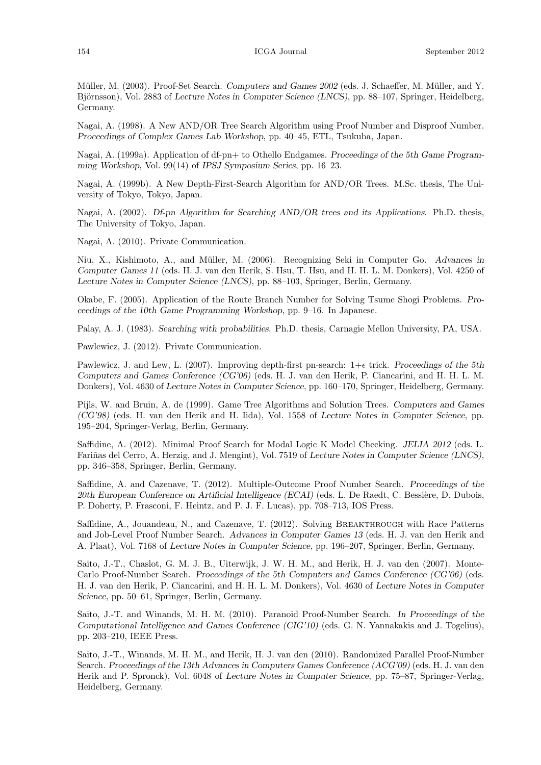Müller, M. (2003). Proof-Set Search. Computers and Games 2002 (eds. J. Schaeffer, M. Müller, and Y. Björnsson), Vol. 2883 of Lecture Notes in Computer Science (LNCS), pp. 88–107, Springer, Heidelberg, Germany.

Nagai, A. (1998). A New AND/OR Tree Search Algorithm using Proof Number and Disproof Number. Proceedings of Complex Games Lab Workshop, pp. 40–45, ETL, Tsukuba, Japan.

Nagai, A. (1999a). Application of df-pn+ to Othello Endgames. Proceedings of the 5th Game Programming Workshop, Vol. 99(14) of IPSJ Symposium Series, pp. 16–23.

Nagai, A. (1999b). A New Depth-First-Search Algorithm for AND/OR Trees. M.Sc. thesis, The University of Tokyo, Tokyo, Japan.

Nagai, A. (2002). Df-pn Algorithm for Searching AND/OR trees and its Applications. Ph.D. thesis, The University of Tokyo, Japan.

Nagai, A. (2010). Private Communication.

Niu, X., Kishimoto, A., and Müller, M. (2006). Recognizing Seki in Computer Go. Advances in Computer Games 11 (eds. H. J. van den Herik, S. Hsu, T. Hsu, and H. H. L. M. Donkers), Vol. 4250 of Lecture Notes in Computer Science (LNCS), pp. 88–103, Springer, Berlin, Germany.

Okabe, F. (2005). Application of the Route Branch Number for Solving Tsume Shogi Problems. Proceedings of the 10th Game Programming Workshop, pp. 9–16. In Japanese.

Palay, A. J. (1983). Searching with probabilities. Ph.D. thesis, Carnagie Mellon University, PA, USA.

Pawlewicz, J. (2012). Private Communication.

Pawlewicz, J. and Lew, L. (2007). Improving depth-first pn-search:  $1+\epsilon$  trick. Proceedings of the 5th Computers and Games Conference (CG'06) (eds. H. J. van den Herik, P. Ciancarini, and H. H. L. M. Donkers), Vol. 4630 of Lecture Notes in Computer Science, pp. 160–170, Springer, Heidelberg, Germany.

Pijls, W. and Bruin, A. de (1999). Game Tree Algorithms and Solution Trees. Computers and Games (CG'98) (eds. H. van den Herik and H. Iida), Vol. 1558 of Lecture Notes in Computer Science, pp. 195–204, Springer-Verlag, Berlin, Germany.

Saffidine, A. (2012). Minimal Proof Search for Modal Logic K Model Checking. JELIA 2012 (eds. L. Fariñas del Cerro, A. Herzig, and J. Mengint), Vol. 7519 of Lecture Notes in Computer Science (LNCS), pp. 346–358, Springer, Berlin, Germany.

Saffidine, A. and Cazenave, T. (2012). Multiple-Outcome Proof Number Search. Proceedings of the 20th European Conference on Artificial Intelligence (ECAI) (eds. L. De Raedt, C. Bessière, D. Dubois, P. Doherty, P. Frasconi, F. Heintz, and P. J. F. Lucas), pp. 708–713, IOS Press.

Saffidine, A., Jouandeau, N., and Cazenave, T. (2012). Solving BREAKTHROUGH with Race Patterns and Job-Level Proof Number Search. Advances in Computer Games 13 (eds. H. J. van den Herik and A. Plaat), Vol. 7168 of Lecture Notes in Computer Science, pp. 196–207, Springer, Berlin, Germany.

Saito, J.-T., Chaslot, G. M. J. B., Uiterwijk, J. W. H. M., and Herik, H. J. van den (2007). Monte-Carlo Proof-Number Search. Proceedings of the 5th Computers and Games Conference (CG'06) (eds. H. J. van den Herik, P. Ciancarini, and H. H. L. M. Donkers), Vol. 4630 of Lecture Notes in Computer Science, pp. 50–61, Springer, Berlin, Germany.

Saito, J.-T. and Winands, M. H. M. (2010). Paranoid Proof-Number Search. In Proceedings of the Computational Intelligence and Games Conference (CIG'10) (eds. G. N. Yannakakis and J. Togelius), pp. 203–210, IEEE Press.

Saito, J.-T., Winands, M. H. M., and Herik, H. J. van den (2010). Randomized Parallel Proof-Number Search. Proceedings of the 13th Advances in Computers Games Conference (ACG'09) (eds. H. J. van den Herik and P. Spronck), Vol. 6048 of Lecture Notes in Computer Science, pp. 75–87, Springer-Verlag, Heidelberg, Germany.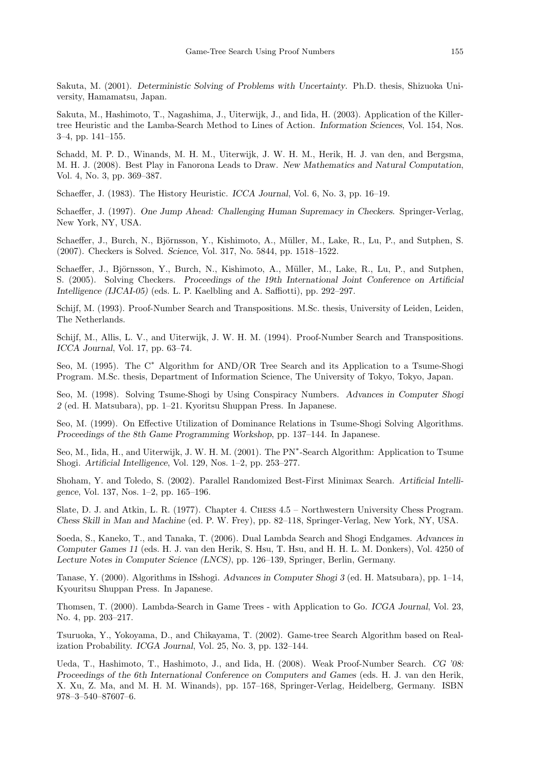Sakuta, M. (2001). Deterministic Solving of Problems with Uncertainty. Ph.D. thesis, Shizuoka University, Hamamatsu, Japan.

Sakuta, M., Hashimoto, T., Nagashima, J., Uiterwijk, J., and Iida, H. (2003). Application of the Killertree Heuristic and the Lamba-Search Method to Lines of Action. Information Sciences, Vol. 154, Nos. 3–4, pp. 141–155.

Schadd, M. P. D., Winands, M. H. M., Uiterwijk, J. W. H. M., Herik, H. J. van den, and Bergsma, M. H. J. (2008). Best Play in Fanorona Leads to Draw. New Mathematics and Natural Computation, Vol. 4, No. 3, pp. 369–387.

Schaeffer, J. (1983). The History Heuristic. ICCA Journal, Vol. 6, No. 3, pp. 16–19.

Schaeffer, J. (1997). One Jump Ahead: Challenging Human Supremacy in Checkers. Springer-Verlag, New York, NY, USA.

Schaeffer, J., Burch, N., Björnsson, Y., Kishimoto, A., Müller, M., Lake, R., Lu, P., and Sutphen, S. (2007). Checkers is Solved. Science, Vol. 317, No. 5844, pp. 1518–1522.

Schaeffer, J., Björnsson, Y., Burch, N., Kishimoto, A., Müller, M., Lake, R., Lu, P., and Sutphen, S. (2005). Solving Checkers. Proceedings of the 19th International Joint Conference on Artificial Intelligence (IJCAI-05) (eds. L. P. Kaelbling and A. Saffiotti), pp. 292–297.

Schijf, M. (1993). Proof-Number Search and Transpositions. M.Sc. thesis, University of Leiden, Leiden, The Netherlands.

Schijf, M., Allis, L. V., and Uiterwijk, J. W. H. M. (1994). Proof-Number Search and Transpositions. ICCA Journal, Vol. 17, pp. 63–74.

Seo, M. (1995). The C<sup>∗</sup> Algorithm for AND/OR Tree Search and its Application to a Tsume-Shogi Program. M.Sc. thesis, Department of Information Science, The University of Tokyo, Tokyo, Japan.

Seo, M. (1998). Solving Tsume-Shogi by Using Conspiracy Numbers. Advances in Computer Shogi 2 (ed. H. Matsubara), pp. 1–21. Kyoritsu Shuppan Press. In Japanese.

Seo, M. (1999). On Effective Utilization of Dominance Relations in Tsume-Shogi Solving Algorithms. Proceedings of the 8th Game Programming Workshop, pp. 137–144. In Japanese.

Seo, M., Iida, H., and Uiterwijk, J. W. H. M. (2001). The PN<sup>\*</sup>-Search Algorithm: Application to Tsume Shogi. Artificial Intelligence, Vol. 129, Nos. 1–2, pp. 253–277.

Shoham, Y. and Toledo, S. (2002). Parallel Randomized Best-First Minimax Search. Artificial Intelligence, Vol. 137, Nos. 1–2, pp. 165–196.

Slate, D. J. and Atkin, L. R. (1977). Chapter 4. Chess 4.5 – Northwestern University Chess Program. Chess Skill in Man and Machine (ed. P. W. Frey), pp. 82–118, Springer-Verlag, New York, NY, USA.

Soeda, S., Kaneko, T., and Tanaka, T. (2006). Dual Lambda Search and Shogi Endgames. Advances in Computer Games 11 (eds. H. J. van den Herik, S. Hsu, T. Hsu, and H. H. L. M. Donkers), Vol. 4250 of Lecture Notes in Computer Science (LNCS), pp. 126–139, Springer, Berlin, Germany.

Tanase, Y. (2000). Algorithms in ISshogi. Advances in Computer Shogi 3 (ed. H. Matsubara), pp. 1–14, Kyouritsu Shuppan Press. In Japanese.

Thomsen, T. (2000). Lambda-Search in Game Trees - with Application to Go. ICGA Journal, Vol. 23, No. 4, pp. 203–217.

Tsuruoka, Y., Yokoyama, D., and Chikayama, T. (2002). Game-tree Search Algorithm based on Realization Probability. ICGA Journal, Vol. 25, No. 3, pp. 132–144.

Ueda, T., Hashimoto, T., Hashimoto, J., and Iida, H. (2008). Weak Proof-Number Search. CG '08: Proceedings of the 6th International Conference on Computers and Games (eds. H. J. van den Herik, X. Xu, Z. Ma, and M. H. M. Winands), pp. 157–168, Springer-Verlag, Heidelberg, Germany. ISBN 978–3–540–87607–6.